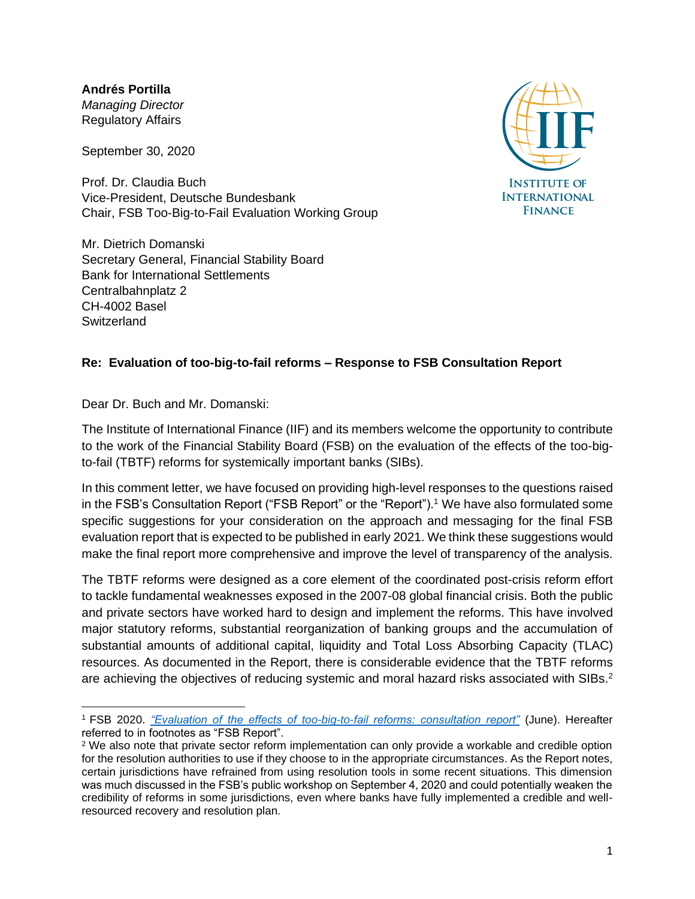**Andrés Portilla** *Managing Director* Regulatory Affairs

September 30, 2020

Prof. Dr. Claudia Buch Vice-President, Deutsche Bundesbank Chair, FSB Too-Big-to-Fail Evaluation Working Group

Mr. Dietrich Domanski Secretary General, Financial Stability Board Bank for International Settlements Centralbahnplatz 2 CH-4002 Basel **Switzerland** 



### **Re: Evaluation of too-big-to-fail reforms – Response to FSB Consultation Report**

Dear Dr. Buch and Mr. Domanski:

The Institute of International Finance (IIF) and its members welcome the opportunity to contribute to the work of the Financial Stability Board (FSB) on the evaluation of the effects of the too-bigto-fail (TBTF) reforms for systemically important banks (SIBs).

In this comment letter, we have focused on providing high-level responses to the questions raised in the FSB's Consultation Report ("FSB Report" or the "Report").<sup>1</sup> We have also formulated some specific suggestions for your consideration on the approach and messaging for the final FSB evaluation report that is expected to be published in early 2021. We think these suggestions would make the final report more comprehensive and improve the level of transparency of the analysis.

The TBTF reforms were designed as a core element of the coordinated post-crisis reform effort to tackle fundamental weaknesses exposed in the 2007-08 global financial crisis. Both the public and private sectors have worked hard to design and implement the reforms. This have involved major statutory reforms, substantial reorganization of banking groups and the accumulation of substantial amounts of additional capital, liquidity and Total Loss Absorbing Capacity (TLAC) resources. As documented in the Report, there is considerable evidence that the TBTF reforms are achieving the objectives of reducing systemic and moral hazard risks associated with SIBs.<sup>2</sup>

<sup>1</sup> FSB 2020. *["Evaluation of the effects of too-big-to-fail reforms: consultation report"](https://www.fsb.org/2020/06/evaluation-of-the-effects-of-too-big-to-fail-reforms-consultation-report/)* (June). Hereafter referred to in footnotes as "FSB Report".

<sup>2</sup> We also note that private sector reform implementation can only provide a workable and credible option for the resolution authorities to use if they choose to in the appropriate circumstances. As the Report notes, certain jurisdictions have refrained from using resolution tools in some recent situations. This dimension was much discussed in the FSB's public workshop on September 4, 2020 and could potentially weaken the credibility of reforms in some jurisdictions, even where banks have fully implemented a credible and wellresourced recovery and resolution plan.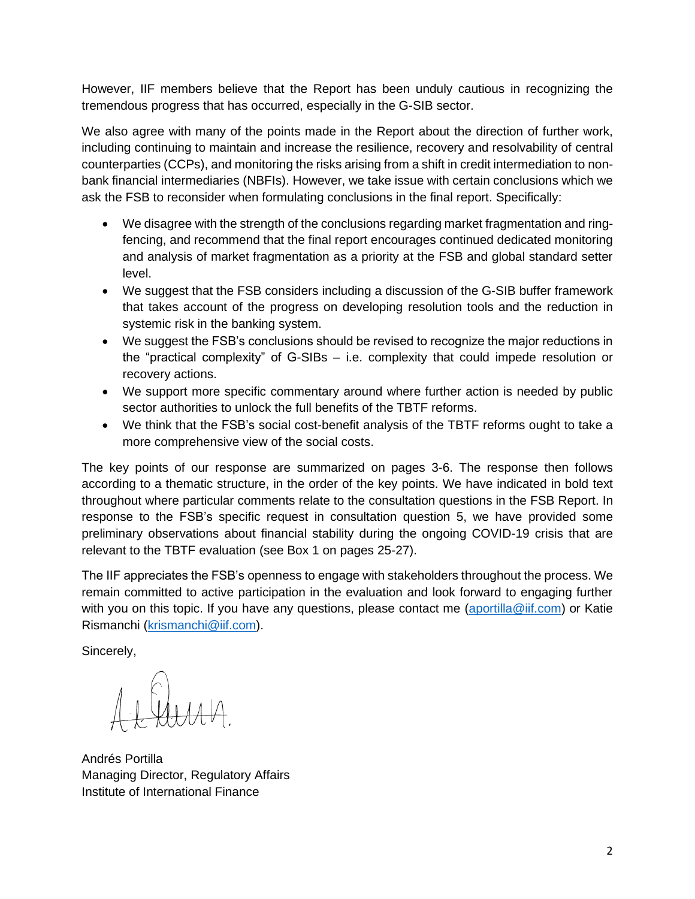However, IIF members believe that the Report has been unduly cautious in recognizing the tremendous progress that has occurred, especially in the G-SIB sector.

We also agree with many of the points made in the Report about the direction of further work, including continuing to maintain and increase the resilience, recovery and resolvability of central counterparties (CCPs), and monitoring the risks arising from a shift in credit intermediation to nonbank financial intermediaries (NBFIs). However, we take issue with certain conclusions which we ask the FSB to reconsider when formulating conclusions in the final report. Specifically:

- We disagree with the strength of the conclusions regarding market fragmentation and ringfencing, and recommend that the final report encourages continued dedicated monitoring and analysis of market fragmentation as a priority at the FSB and global standard setter level.
- We suggest that the FSB considers including a discussion of the G-SIB buffer framework that takes account of the progress on developing resolution tools and the reduction in systemic risk in the banking system.
- We suggest the FSB's conclusions should be revised to recognize the major reductions in the "practical complexity" of G-SIBs – i.e. complexity that could impede resolution or recovery actions.
- We support more specific commentary around where further action is needed by public sector authorities to unlock the full benefits of the TBTF reforms.
- We think that the FSB's social cost-benefit analysis of the TBTF reforms ought to take a more comprehensive view of the social costs.

The key points of our response are summarized on pages 3-6. The response then follows according to a thematic structure, in the order of the key points. We have indicated in bold text throughout where particular comments relate to the consultation questions in the FSB Report. In response to the FSB's specific request in consultation question 5, we have provided some preliminary observations about financial stability during the ongoing COVID-19 crisis that are relevant to the TBTF evaluation (see Box 1 on pages 25-27).

The IIF appreciates the FSB's openness to engage with stakeholders throughout the process. We remain committed to active participation in the evaluation and look forward to engaging further with you on this topic. If you have any questions, please contact me [\(aportilla@iif.com\)](mailto:aportilla@iif.com) or Katie Rismanchi [\(krismanchi@iif.com\)](mailto:krismanchi@iif.com).

Sincerely,

Andrés Portilla Managing Director, Regulatory Affairs Institute of International Finance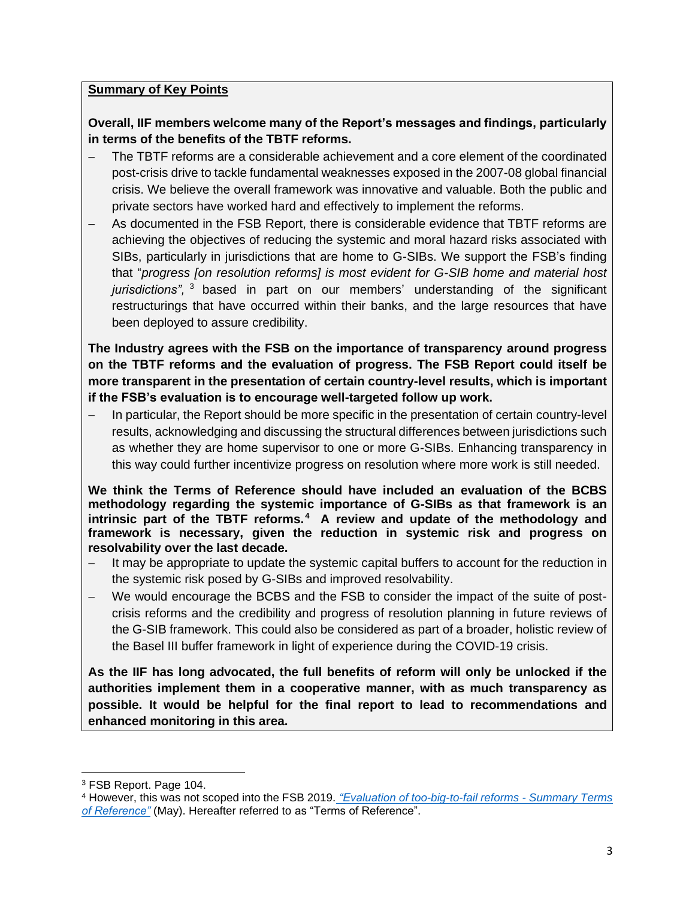### **Summary of Key Points**

**Overall, IIF members welcome many of the Report's messages and findings, particularly in terms of the benefits of the TBTF reforms.**

- The TBTF reforms are a considerable achievement and a core element of the coordinated post-crisis drive to tackle fundamental weaknesses exposed in the 2007-08 global financial crisis. We believe the overall framework was innovative and valuable. Both the public and private sectors have worked hard and effectively to implement the reforms.
- As documented in the FSB Report, there is considerable evidence that TBTF reforms are achieving the objectives of reducing the systemic and moral hazard risks associated with SIBs, particularly in jurisdictions that are home to G-SIBs. We support the FSB's finding that "*progress [on resolution reforms] is most evident for G-SIB home and material host jurisdictions",* <sup>3</sup> based in part on our members' understanding of the significant restructurings that have occurred within their banks, and the large resources that have been deployed to assure credibility.

**The Industry agrees with the FSB on the importance of transparency around progress on the TBTF reforms and the evaluation of progress. The FSB Report could itself be more transparent in the presentation of certain country-level results, which is important if the FSB's evaluation is to encourage well-targeted follow up work.**

− In particular, the Report should be more specific in the presentation of certain country-level results, acknowledging and discussing the structural differences between jurisdictions such as whether they are home supervisor to one or more G-SIBs. Enhancing transparency in this way could further incentivize progress on resolution where more work is still needed.

**We think the Terms of Reference should have included an evaluation of the BCBS methodology regarding the systemic importance of G-SIBs as that framework is an intrinsic part of the TBTF reforms. <sup>4</sup> A review and update of the methodology and framework is necessary, given the reduction in systemic risk and progress on resolvability over the last decade.** 

- It may be appropriate to update the systemic capital buffers to account for the reduction in the systemic risk posed by G-SIBs and improved resolvability.
- − We would encourage the BCBS and the FSB to consider the impact of the suite of postcrisis reforms and the credibility and progress of resolution planning in future reviews of the G-SIB framework. This could also be considered as part of a broader, holistic review of the Basel III buffer framework in light of experience during the COVID-19 crisis.

**As the IIF has long advocated, the full benefits of reform will only be unlocked if the authorities implement them in a cooperative manner, with as much transparency as possible. It would be helpful for the final report to lead to recommendations and enhanced monitoring in this area.**

<sup>3</sup> FSB Report. Page 104.

<sup>4</sup> However, this was not scoped into the FSB 2019. *["Evaluation of too-big-to-fail reforms -](https://www.fsb.org/wp-content/uploads/P230519.pdf) Summary Terms [of Reference"](https://www.fsb.org/wp-content/uploads/P230519.pdf)* (May). Hereafter referred to as "Terms of Reference".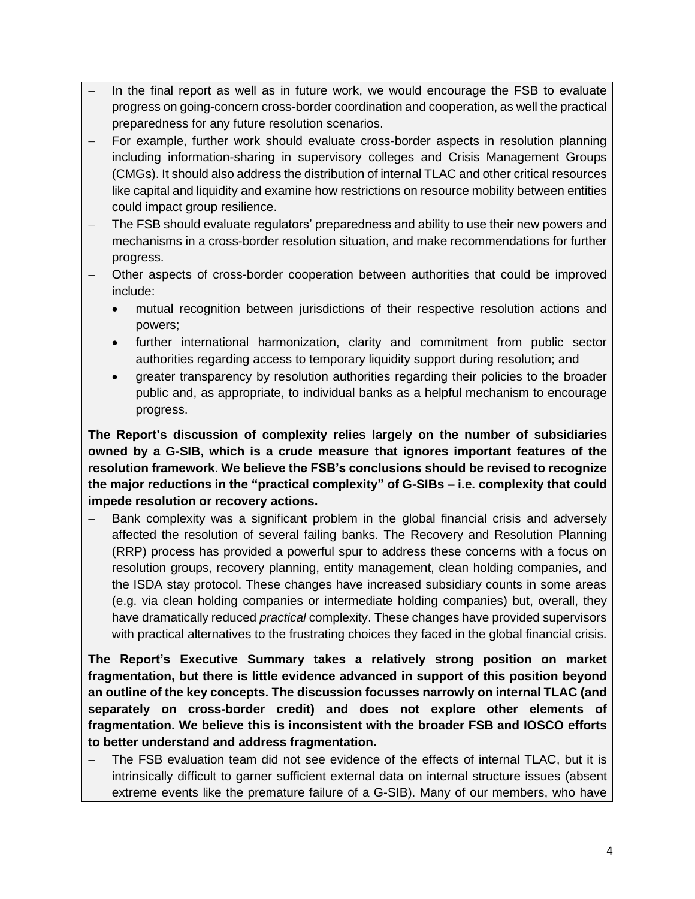- In the final report as well as in future work, we would encourage the FSB to evaluate progress on going-concern cross-border coordination and cooperation, as well the practical preparedness for any future resolution scenarios.
- For example, further work should evaluate cross-border aspects in resolution planning including information-sharing in supervisory colleges and Crisis Management Groups (CMGs). It should also address the distribution of internal TLAC and other critical resources like capital and liquidity and examine how restrictions on resource mobility between entities could impact group resilience.
- The FSB should evaluate regulators' preparedness and ability to use their new powers and mechanisms in a cross-border resolution situation, and make recommendations for further progress.
- − Other aspects of cross-border cooperation between authorities that could be improved include:
	- mutual recognition between jurisdictions of their respective resolution actions and powers;
	- further international harmonization, clarity and commitment from public sector authorities regarding access to temporary liquidity support during resolution; and
	- greater transparency by resolution authorities regarding their policies to the broader public and, as appropriate, to individual banks as a helpful mechanism to encourage progress.

**The Report's discussion of complexity relies largely on the number of subsidiaries owned by a G-SIB, which is a crude measure that ignores important features of the resolution framework**. **We believe the FSB's conclusions should be revised to recognize the major reductions in the "practical complexity" of G-SIBs – i.e. complexity that could impede resolution or recovery actions.**

Bank complexity was a significant problem in the global financial crisis and adversely affected the resolution of several failing banks. The Recovery and Resolution Planning (RRP) process has provided a powerful spur to address these concerns with a focus on resolution groups, recovery planning, entity management, clean holding companies, and the ISDA stay protocol. These changes have increased subsidiary counts in some areas (e.g. via clean holding companies or intermediate holding companies) but, overall, they have dramatically reduced *practical* complexity. These changes have provided supervisors with practical alternatives to the frustrating choices they faced in the global financial crisis.

**The Report's Executive Summary takes a relatively strong position on market fragmentation, but there is little evidence advanced in support of this position beyond an outline of the key concepts. The discussion focusses narrowly on internal TLAC (and separately on cross-border credit) and does not explore other elements of fragmentation. We believe this is inconsistent with the broader FSB and IOSCO efforts to better understand and address fragmentation.** 

− The FSB evaluation team did not see evidence of the effects of internal TLAC, but it is intrinsically difficult to garner sufficient external data on internal structure issues (absent extreme events like the premature failure of a G-SIB). Many of our members, who have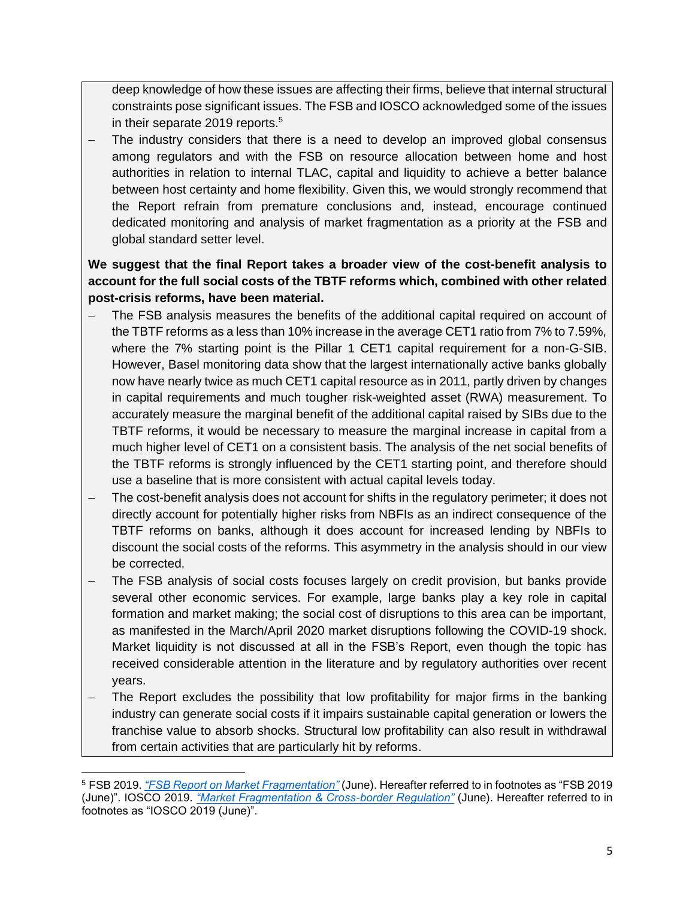deep knowledge of how these issues are affecting their firms, believe that internal structural constraints pose significant issues. The FSB and IOSCO acknowledged some of the issues in their separate 2019 reports.<sup>5</sup>

The industry considers that there is a need to develop an improved global consensus among regulators and with the FSB on resource allocation between home and host authorities in relation to internal TLAC, capital and liquidity to achieve a better balance between host certainty and home flexibility. Given this, we would strongly recommend that the Report refrain from premature conclusions and, instead, encourage continued dedicated monitoring and analysis of market fragmentation as a priority at the FSB and global standard setter level.

## **We suggest that the final Report takes a broader view of the cost-benefit analysis to account for the full social costs of the TBTF reforms which, combined with other related post-crisis reforms, have been material.**

- The FSB analysis measures the benefits of the additional capital required on account of the TBTF reforms as a less than 10% increase in the average CET1 ratio from 7% to 7.59%, where the 7% starting point is the Pillar 1 CET1 capital requirement for a non-G-SIB. However, Basel monitoring data show that the largest internationally active banks globally now have nearly twice as much CET1 capital resource as in 2011, partly driven by changes in capital requirements and much tougher risk-weighted asset (RWA) measurement. To accurately measure the marginal benefit of the additional capital raised by SIBs due to the TBTF reforms, it would be necessary to measure the marginal increase in capital from a much higher level of CET1 on a consistent basis. The analysis of the net social benefits of the TBTF reforms is strongly influenced by the CET1 starting point, and therefore should use a baseline that is more consistent with actual capital levels today.
- The cost-benefit analysis does not account for shifts in the regulatory perimeter; it does not directly account for potentially higher risks from NBFIs as an indirect consequence of the TBTF reforms on banks, although it does account for increased lending by NBFIs to discount the social costs of the reforms. This asymmetry in the analysis should in our view be corrected.
- − The FSB analysis of social costs focuses largely on credit provision, but banks provide several other economic services. For example, large banks play a key role in capital formation and market making; the social cost of disruptions to this area can be important, as manifested in the March/April 2020 market disruptions following the COVID-19 shock. Market liquidity is not discussed at all in the FSB's Report, even though the topic has received considerable attention in the literature and by regulatory authorities over recent years.
- The Report excludes the possibility that low profitability for major firms in the banking industry can generate social costs if it impairs sustainable capital generation or lowers the franchise value to absorb shocks. Structural low profitability can also result in withdrawal from certain activities that are particularly hit by reforms.

<sup>5</sup> FSB 2019. *["FSB Report on Market Fragmentation"](https://www.fsb.org/wp-content/uploads/P040619-2.pdf)* (June). Hereafter referred to in footnotes as "FSB 2019 (June)". IOSCO 2019. *["Market Fragmentation & Cross-border Regulation"](https://www.iosco.org/library/pubdocs/pdf/IOSCOPD629.pdf)* (June). Hereafter referred to in footnotes as "IOSCO 2019 (June)".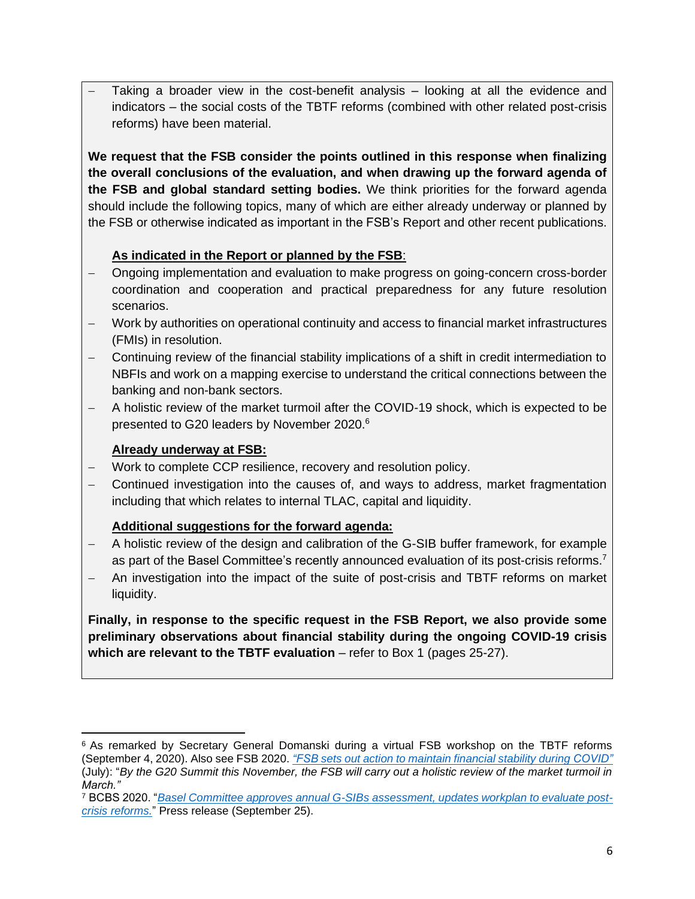Taking a broader view in the cost-benefit analysis – looking at all the evidence and indicators – the social costs of the TBTF reforms (combined with other related post-crisis reforms) have been material.

**We request that the FSB consider the points outlined in this response when finalizing the overall conclusions of the evaluation, and when drawing up the forward agenda of the FSB and global standard setting bodies.** We think priorities for the forward agenda should include the following topics, many of which are either already underway or planned by the FSB or otherwise indicated as important in the FSB's Report and other recent publications.

# **As indicated in the Report or planned by the FSB**:

- − Ongoing implementation and evaluation to make progress on going-concern cross-border coordination and cooperation and practical preparedness for any future resolution scenarios.
- − Work by authorities on operational continuity and access to financial market infrastructures (FMIs) in resolution.
- − Continuing review of the financial stability implications of a shift in credit intermediation to NBFIs and work on a mapping exercise to understand the critical connections between the banking and non-bank sectors.
- − A holistic review of the market turmoil after the COVID-19 shock, which is expected to be presented to G20 leaders by November 2020.<sup>6</sup>

### **Already underway at FSB:**

- − Work to complete CCP resilience, recovery and resolution policy.
- − Continued investigation into the causes of, and ways to address, market fragmentation including that which relates to internal TLAC, capital and liquidity.

# **Additional suggestions for the forward agenda:**

- A holistic review of the design and calibration of the G-SIB buffer framework, for example as part of the Basel Committee's recently announced evaluation of its post-crisis reforms.<sup>7</sup>
- − An investigation into the impact of the suite of post-crisis and TBTF reforms on market liquidity.

**Finally, in response to the specific request in the FSB Report, we also provide some preliminary observations about financial stability during the ongoing COVID-19 crisis which are relevant to the TBTF evaluation** – refer to Box 1 (pages 25-27).

<sup>&</sup>lt;sup>6</sup> As remarked by Secretary General Domanski during a virtual FSB workshop on the TBTF reforms (September 4, 2020). Also see FSB 2020. *["FSB sets](https://www.fsb.org/2020/07/fsb-sets-out-action-to-maintain-financial-stability-during-covid/) out action to maintain financial stability during COVID"* (July): "*By the G20 Summit this November, the FSB will carry out a holistic review of the market turmoil in March."*

<sup>7</sup> BCBS 2020. "*Basel Committee approves annual G-SIBs [assessment, updates workplan to evaluate post](https://www.bis.org/press/p200925.htm)[crisis reforms.](https://www.bis.org/press/p200925.htm)*" Press release (September 25).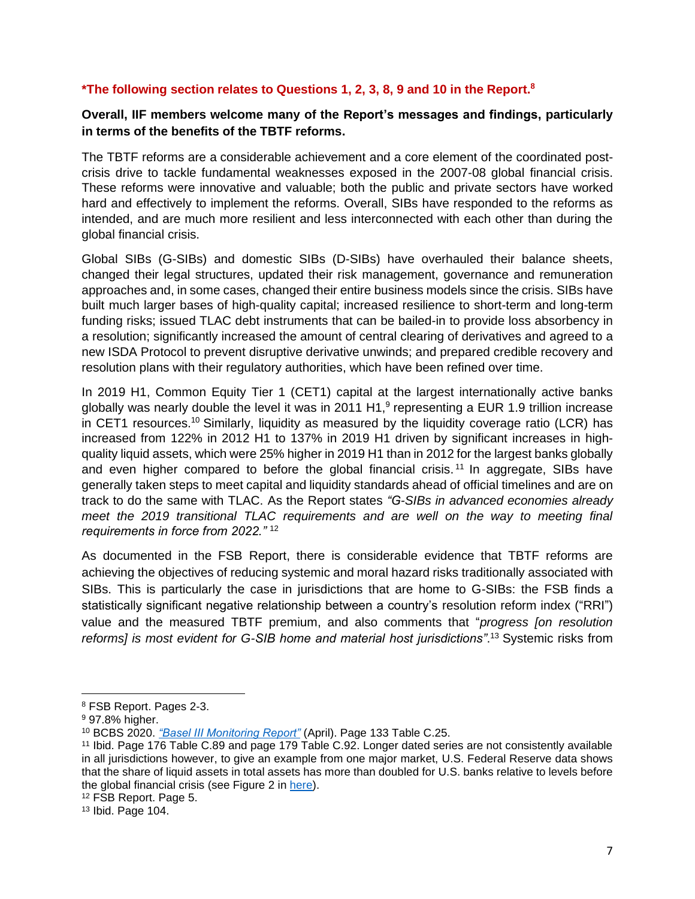### **\*The following section relates to Questions 1, 2, 3, 8, 9 and 10 in the Report. 8**

### **Overall, IIF members welcome many of the Report's messages and findings, particularly in terms of the benefits of the TBTF reforms.**

The TBTF reforms are a considerable achievement and a core element of the coordinated postcrisis drive to tackle fundamental weaknesses exposed in the 2007-08 global financial crisis. These reforms were innovative and valuable; both the public and private sectors have worked hard and effectively to implement the reforms. Overall, SIBs have responded to the reforms as intended, and are much more resilient and less interconnected with each other than during the global financial crisis.

Global SIBs (G-SIBs) and domestic SIBs (D-SIBs) have overhauled their balance sheets, changed their legal structures, updated their risk management, governance and remuneration approaches and, in some cases, changed their entire business models since the crisis. SIBs have built much larger bases of high-quality capital; increased resilience to short-term and long-term funding risks; issued TLAC debt instruments that can be bailed-in to provide loss absorbency in a resolution; significantly increased the amount of central clearing of derivatives and agreed to a new ISDA Protocol to prevent disruptive derivative unwinds; and prepared credible recovery and resolution plans with their regulatory authorities, which have been refined over time.

In 2019 H1, Common Equity Tier 1 (CET1) capital at the largest internationally active banks globally was nearly double the level it was in 2011 H1,<sup>9</sup> representing a EUR 1.9 trillion increase in CET1 resources.<sup>10</sup> Similarly, liquidity as measured by the liquidity coverage ratio (LCR) has increased from 122% in 2012 H1 to 137% in 2019 H1 driven by significant increases in highquality liquid assets, which were 25% higher in 2019 H1 than in 2012 for the largest banks globally and even higher compared to before the global financial crisis.<sup>11</sup> In aggregate, SIBs have generally taken steps to meet capital and liquidity standards ahead of official timelines and are on track to do the same with TLAC. As the Report states *"G-SIBs in advanced economies already meet the 2019 transitional TLAC requirements and are well on the way to meeting final requirements in force from 2022."* <sup>12</sup>

As documented in the FSB Report, there is considerable evidence that TBTF reforms are achieving the objectives of reducing systemic and moral hazard risks traditionally associated with SIBs. This is particularly the case in jurisdictions that are home to G-SIBs: the FSB finds a statistically significant negative relationship between a country's resolution reform index ("RRI") value and the measured TBTF premium, and also comments that "*progress [on resolution reforms] is most evident for G-SIB home and material host jurisdictions"*. <sup>13</sup> Systemic risks from

<sup>8</sup> FSB Report. Pages 2-3.

<sup>&</sup>lt;sup>9</sup> 97.8% higher.

<sup>10</sup> BCBS 2020. *["Basel III Monitoring Report"](https://www.bis.org/bcbs/publ/d500.pdf)* (April). Page 133 Table C.25.

<sup>11</sup> Ibid. Page 176 Table C.89 and page 179 Table C.92. Longer dated series are not consistently available in all jurisdictions however, to give an example from one major market, U.S. Federal Reserve data shows that the share of liquid assets in total assets has more than doubled for U.S. banks relative to levels before the global financial crisis (see Figure 2 in [here\)](https://www.federalreserve.gov/publications/files/202005-supervision-and-regulation-report.pdf).

<sup>12</sup> FSB Report. Page 5.

<sup>13</sup> Ibid. Page 104.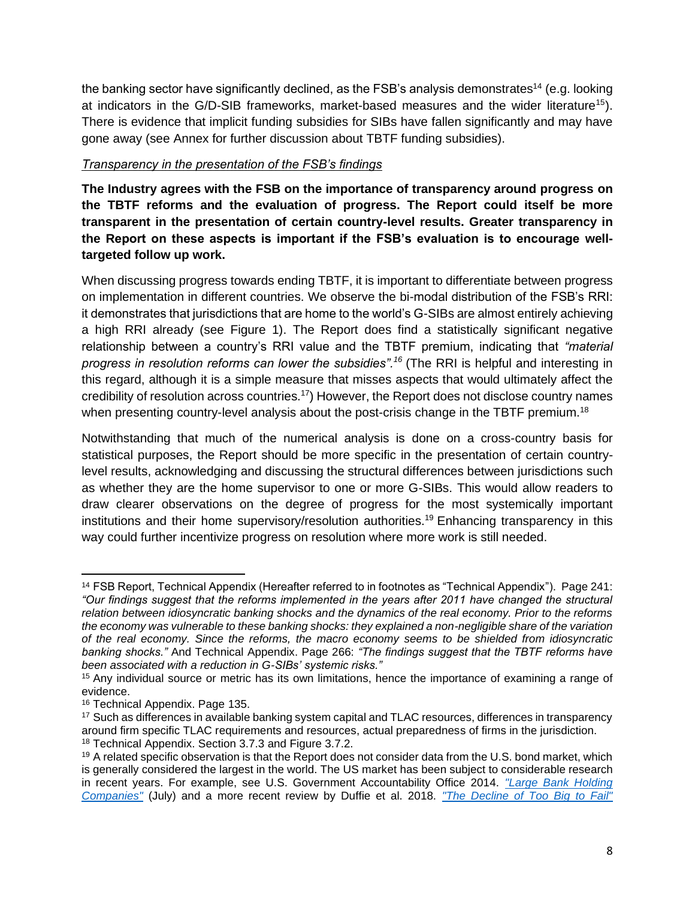the banking sector have significantly declined, as the FSB's analysis demonstrates<sup>14</sup> (e.g. looking at indicators in the G/D-SIB frameworks, market-based measures and the wider literature<sup>15</sup>). There is evidence that implicit funding subsidies for SIBs have fallen significantly and may have gone away (see Annex for further discussion about TBTF funding subsidies).

### *Transparency in the presentation of the FSB's findings*

**The Industry agrees with the FSB on the importance of transparency around progress on the TBTF reforms and the evaluation of progress. The Report could itself be more transparent in the presentation of certain country-level results. Greater transparency in the Report on these aspects is important if the FSB's evaluation is to encourage welltargeted follow up work.**

When discussing progress towards ending TBTF, it is important to differentiate between progress on implementation in different countries. We observe the bi-modal distribution of the FSB's RRI: it demonstrates that jurisdictions that are home to the world's G-SIBs are almost entirely achieving a high RRI already (see Figure 1). The Report does find a statistically significant negative relationship between a country's RRI value and the TBTF premium, indicating that *"material progress in resolution reforms can lower the subsidies".<sup>16</sup>* (The RRI is helpful and interesting in this regard, although it is a simple measure that misses aspects that would ultimately affect the credibility of resolution across countries.<sup>17</sup>) However, the Report does not disclose country names when presenting country-level analysis about the post-crisis change in the TBTF premium.<sup>18</sup>

Notwithstanding that much of the numerical analysis is done on a cross-country basis for statistical purposes, the Report should be more specific in the presentation of certain countrylevel results, acknowledging and discussing the structural differences between jurisdictions such as whether they are the home supervisor to one or more G-SIBs. This would allow readers to draw clearer observations on the degree of progress for the most systemically important institutions and their home supervisory/resolution authorities.<sup>19</sup> Enhancing transparency in this way could further incentivize progress on resolution where more work is still needed.

<sup>14</sup> FSB Report, Technical Appendix (Hereafter referred to in footnotes as "Technical Appendix"). Page 241: *"Our findings suggest that the reforms implemented in the years after 2011 have changed the structural relation between idiosyncratic banking shocks and the dynamics of the real economy. Prior to the reforms the economy was vulnerable to these banking shocks: they explained a non-negligible share of the variation of the real economy. Since the reforms, the macro economy seems to be shielded from idiosyncratic banking shocks."* And Technical Appendix. Page 266: *"The findings suggest that the TBTF reforms have been associated with a reduction in G-SIBs' systemic risks."* 

<sup>&</sup>lt;sup>15</sup> Any individual source or metric has its own limitations, hence the importance of examining a range of evidence.

<sup>16</sup> Technical Appendix. Page 135.

<sup>&</sup>lt;sup>17</sup> Such as differences in available banking system capital and TLAC resources, differences in transparency around firm specific TLAC requirements and resources, actual preparedness of firms in the jurisdiction. <sup>18</sup> Technical Appendix. Section 3.7.3 and Figure 3.7.2.

<sup>&</sup>lt;sup>19</sup> A related specific observation is that the Report does not consider data from the U.S. bond market, which is generally considered the largest in the world. The US market has been subject to considerable research in recent years. For example, see U.S. Government Accountability Office 2014. *["Large Bank Holding](https://www.gao.gov/assets/670/665162.pdf)  [Companies"](https://www.gao.gov/assets/670/665162.pdf)* (July) and a more recent review by Duffie et al. 2018. *["The Decline of Too Big to Fail"](https://www.darrellduffie.com/uploads/pubs/BerndtDuffieZhuTBTF.pdf)*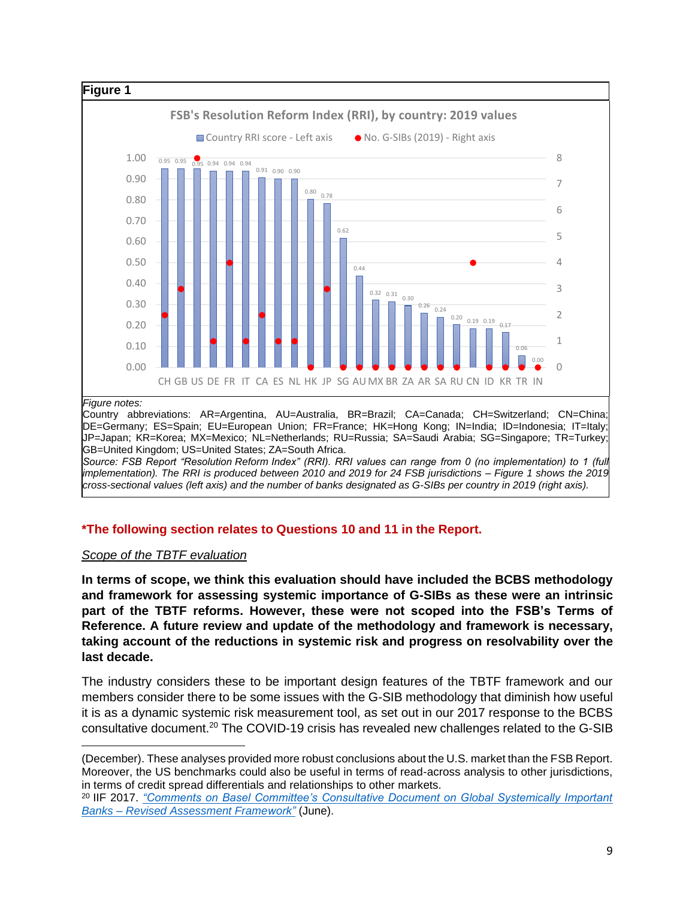

*Source: FSB Report "Resolution Reform Index" (RRI). RRI values can range from 0 (no implementation) to 1 (full implementation). The RRI is produced between 2010 and 2019 for 24 FSB jurisdictions – Figure 1 shows the 2019 cross-sectional values (left axis) and the number of banks designated as G-SIBs per country in 2019 (right axis).*

# **\*The following section relates to Questions 10 and 11 in the Report.**

### *Scope of the TBTF evaluation*

**In terms of scope, we think this evaluation should have included the BCBS methodology and framework for assessing systemic importance of G-SIBs as these were an intrinsic part of the TBTF reforms. However, these were not scoped into the FSB's Terms of Reference. A future review and update of the methodology and framework is necessary, taking account of the reductions in systemic risk and progress on resolvability over the last decade.** 

The industry considers these to be important design features of the TBTF framework and our members consider there to be some issues with the G-SIB methodology that diminish how useful it is as a dynamic systemic risk measurement tool, as set out in our 2017 response to the BCBS consultative document.<sup>20</sup> The COVID-19 crisis has revealed new challenges related to the G-SIB

<sup>(</sup>December). These analyses provided more robust conclusions about the U.S. market than the FSB Report. Moreover, the US benchmarks could also be useful in terms of read-across analysis to other jurisdictions, in terms of credit spread differentials and relationships to other markets.

<sup>20</sup> IIF 2017. *["Comments on Basel Committee's Consultative Document on Global Systemically Important](https://www.iif.com/portals/0/Files/private/32370132_iif_comments_on_bcbs_cd_on_global_systemically_important_banks_-_revised_assessment_framework.pdf)  Banks – [Revised Assessment Framework"](https://www.iif.com/portals/0/Files/private/32370132_iif_comments_on_bcbs_cd_on_global_systemically_important_banks_-_revised_assessment_framework.pdf)* (June).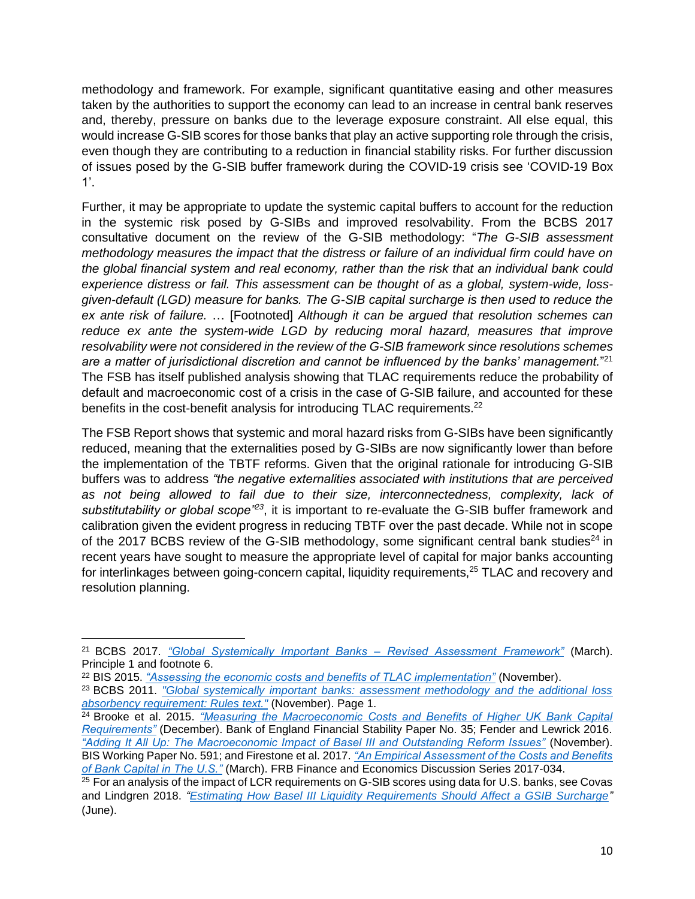methodology and framework. For example, significant quantitative easing and other measures taken by the authorities to support the economy can lead to an increase in central bank reserves and, thereby, pressure on banks due to the leverage exposure constraint. All else equal, this would increase G-SIB scores for those banks that play an active supporting role through the crisis, even though they are contributing to a reduction in financial stability risks. For further discussion of issues posed by the G-SIB buffer framework during the COVID-19 crisis see 'COVID-19 Box 1'.

Further, it may be appropriate to update the systemic capital buffers to account for the reduction in the systemic risk posed by G-SIBs and improved resolvability. From the BCBS 2017 consultative document on the review of the G-SIB methodology: "*The G-SIB assessment methodology measures the impact that the distress or failure of an individual firm could have on the global financial system and real economy, rather than the risk that an individual bank could experience distress or fail. This assessment can be thought of as a global, system-wide, lossgiven-default (LGD) measure for banks. The G-SIB capital surcharge is then used to reduce the ex ante risk of failure.* … [Footnoted] *Although it can be argued that resolution schemes can reduce ex ante the system-wide LGD by reducing moral hazard, measures that improve resolvability were not considered in the review of the G-SIB framework since resolutions schemes are a matter of jurisdictional discretion and cannot be influenced by the banks' management.*" 21 The FSB has itself published analysis showing that TLAC requirements reduce the probability of default and macroeconomic cost of a crisis in the case of G-SIB failure, and accounted for these benefits in the cost-benefit analysis for introducing TLAC requirements.<sup>22</sup>

The FSB Report shows that systemic and moral hazard risks from G-SIBs have been significantly reduced, meaning that the externalities posed by G-SIBs are now significantly lower than before the implementation of the TBTF reforms. Given that the original rationale for introducing G-SIB buffers was to address *"the negative externalities associated with institutions that are perceived as not being allowed to fail due to their size, interconnectedness, complexity, lack of*  substitutability or global scope<sup>-23</sup>, it is important to re-evaluate the G-SIB buffer framework and calibration given the evident progress in reducing TBTF over the past decade. While not in scope of the 2017 BCBS review of the G-SIB methodology, some significant central bank studies<sup>24</sup> in recent years have sought to measure the appropriate level of capital for major banks accounting for interlinkages between going-concern capital, liquidity requirements,<sup>25</sup> TLAC and recovery and resolution planning.

<sup>21</sup> BCBS 2017. *["Global Systemically Important Banks –](https://www.bis.org/bcbs/publ/d402.pdf) Revised Assessment Framework"* (March). Principle 1 and footnote 6.

<sup>22</sup> BIS 2015. *["Assessing the economic costs and benefits of TLAC implementation"](https://www.bis.org/publ/othp24.pdf)* (November).

<sup>23</sup> BCBS 2011. *["Global systemically important banks: assessment methodology and the additional loss](https://www.bis.org/publ/bcbs207.pdf)  [absorbency requirement: Rules](https://www.bis.org/publ/bcbs207.pdf) text."* (November). Page 1.

<sup>24</sup> Brooke et al. 2015. *["Measuring the Macroeconomic Costs and Benefits of Higher UK Bank Capital](https://www.bankofengland.co.uk/financial-stability-paper/2015/measuring-the-macroeconomic-costs-and-benefits-of-higher-uk-bank-capital-requirements)  [Requirements"](https://www.bankofengland.co.uk/financial-stability-paper/2015/measuring-the-macroeconomic-costs-and-benefits-of-higher-uk-bank-capital-requirements)* (December). Bank of England Financial Stability Paper No. 35; Fender and Lewrick 2016. *["Adding It All Up: The Macroeconomic Impact of Basel III and Outstanding Reform Issues"](https://www.bis.org/publ/work591.htm)* (November). BIS Working Paper No. 591; and Firestone et al. 2017. *["An Empirical Assessment of the Costs and Benefits](https://www.federalreserve.gov/econres/feds/files/2017034pap.pdf)  [of Bank Capital in The U.S."](https://www.federalreserve.gov/econres/feds/files/2017034pap.pdf)* (March). FRB Finance and Economics Discussion Series 2017-034.

 $25$  For an analysis of the impact of LCR requirements on G-SIB scores using data for U.S. banks, see Covas and Lindgren 2018. *["Estimating How Basel III Liquidity Requirements Should Affect a GSIB Surcharge"](https://bpi.com/wp-content/uploads/2018/07/research-note.pdf)*  (June).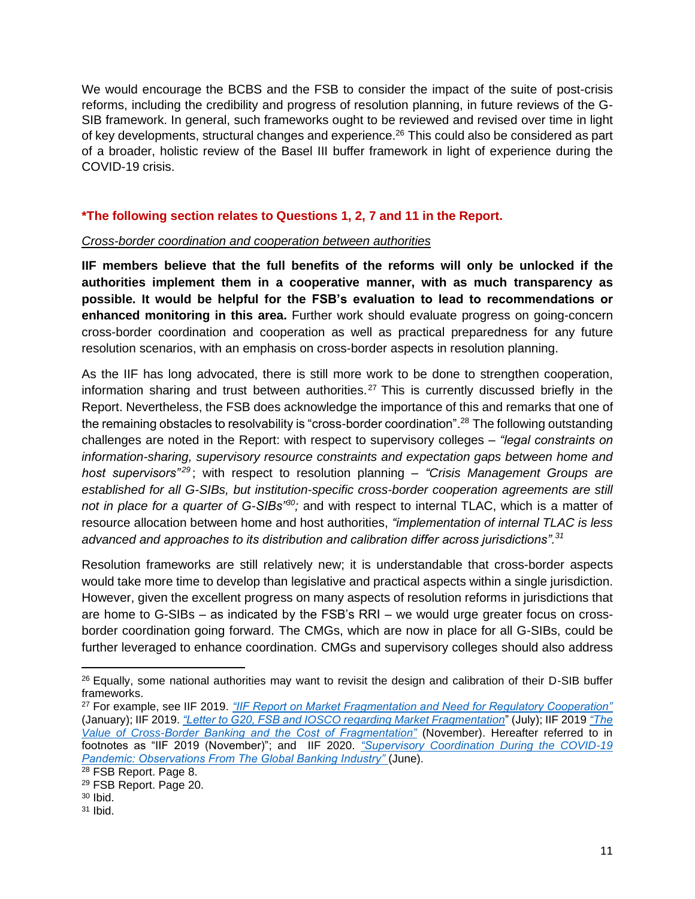We would encourage the BCBS and the FSB to consider the impact of the suite of post-crisis reforms, including the credibility and progress of resolution planning, in future reviews of the G-SIB framework. In general, such frameworks ought to be reviewed and revised over time in light of key developments, structural changes and experience.<sup>26</sup> This could also be considered as part of a broader, holistic review of the Basel III buffer framework in light of experience during the COVID-19 crisis.

### **\*The following section relates to Questions 1, 2, 7 and 11 in the Report.**

#### *Cross-border coordination and cooperation between authorities*

**IIF members believe that the full benefits of the reforms will only be unlocked if the authorities implement them in a cooperative manner, with as much transparency as possible. It would be helpful for the FSB's evaluation to lead to recommendations or enhanced monitoring in this area.** Further work should evaluate progress on going-concern cross-border coordination and cooperation as well as practical preparedness for any future resolution scenarios, with an emphasis on cross-border aspects in resolution planning.

As the IIF has long advocated, there is still more work to be done to strengthen cooperation, information sharing and trust between authorities.<sup>27</sup> This is currently discussed briefly in the Report. Nevertheless, the FSB does acknowledge the importance of this and remarks that one of the remaining obstacles to resolvability is "cross-border coordination".<sup>28</sup> The following outstanding challenges are noted in the Report: with respect to supervisory colleges – *"legal constraints on information-sharing, supervisory resource constraints and expectation gaps between home and host supervisors*<sup>29</sup>; with respect to resolution planning – "Crisis Management Groups are *established for all G-SIBs, but institution-specific cross-border cooperation agreements are still not in place for a quarter of G-SIBs"<sup>30</sup>;* and with respect to internal TLAC, which is a matter of resource allocation between home and host authorities, *"implementation of internal TLAC is less advanced and approaches to its distribution and calibration differ across jurisdictions".<sup>31</sup>*

Resolution frameworks are still relatively new; it is understandable that cross-border aspects would take more time to develop than legislative and practical aspects within a single jurisdiction. However, given the excellent progress on many aspects of resolution reforms in jurisdictions that are home to G-SIBs – as indicated by the FSB's RRI – we would urge greater focus on crossborder coordination going forward. The CMGs, which are now in place for all G-SIBs, could be further leveraged to enhance coordination. CMGs and supervisory colleges should also address

<sup>&</sup>lt;sup>26</sup> Equally, some national authorities may want to revisit the design and calibration of their D-SIB buffer frameworks.

<sup>27</sup> For example, see IIF 2019. *["IIF Report on Market Fragmentation and Need for Regulatory Cooperation"](https://www.iif.com/Publications/ID/3222/IIF-Report-on-Market-Fragmentation-and-Need-for-Regulatory-Cooperation)* (January); IIF 2019. *["Letter to G20, FSB and IOSCO regarding Market Fragmentation](https://www.iif.com/Publications/ID/3429/IIF-letter-to-G20--FSB-and-IOSCO-regarding-Market-Fragmentation)*" (July); IIF 2019 *["The](https://www.iif.com/Publications/ID/3649/The-Value-of-Cross-Border-Banking-and-the-Cost-of-Fragmentation-)  [Value of Cross-Border Banking and the Cost of Fragmentation"](https://www.iif.com/Publications/ID/3649/The-Value-of-Cross-Border-Banking-and-the-Cost-of-Fragmentation-)* (November). Hereafter referred to in footnotes as "IIF 2019 (November)"; and IIF 2020. *["Supervisory Coordination During the COVID-19](https://www.iif.com/Publications/ID/3961/Supervisory-Coordination-During-the-COVID-19-Pandemic-Observations-From-The-Global-Banking-Industry)  [Pandemic: Observations From The Global Banking Industry"](https://www.iif.com/Publications/ID/3961/Supervisory-Coordination-During-the-COVID-19-Pandemic-Observations-From-The-Global-Banking-Industry)* (June).

<sup>&</sup>lt;sup>28</sup> FSB Report. Page 8.

<sup>29</sup> FSB Report. Page 20.

 $30$  Ibid.

 $31$  Ibid.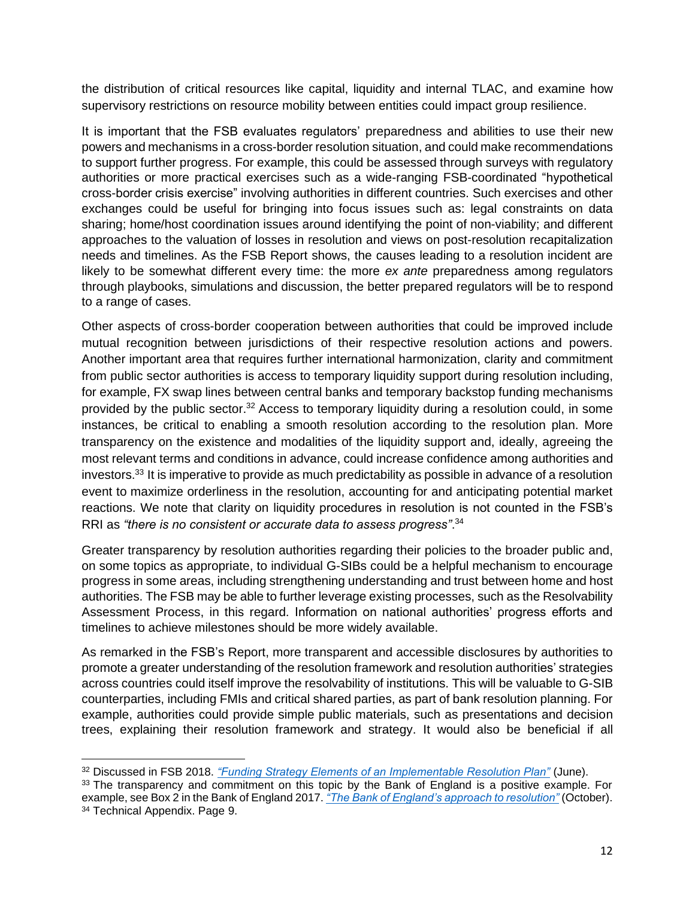the distribution of critical resources like capital, liquidity and internal TLAC, and examine how supervisory restrictions on resource mobility between entities could impact group resilience.

It is important that the FSB evaluates regulators' preparedness and abilities to use their new powers and mechanisms in a cross-border resolution situation, and could make recommendations to support further progress. For example, this could be assessed through surveys with regulatory authorities or more practical exercises such as a wide-ranging FSB-coordinated "hypothetical cross-border crisis exercise" involving authorities in different countries. Such exercises and other exchanges could be useful for bringing into focus issues such as: legal constraints on data sharing; home/host coordination issues around identifying the point of non-viability; and different approaches to the valuation of losses in resolution and views on post-resolution recapitalization needs and timelines. As the FSB Report shows, the causes leading to a resolution incident are likely to be somewhat different every time: the more *ex ante* preparedness among regulators through playbooks, simulations and discussion, the better prepared regulators will be to respond to a range of cases.

Other aspects of cross-border cooperation between authorities that could be improved include mutual recognition between jurisdictions of their respective resolution actions and powers. Another important area that requires further international harmonization, clarity and commitment from public sector authorities is access to temporary liquidity support during resolution including, for example, FX swap lines between central banks and temporary backstop funding mechanisms provided by the public sector.<sup>32</sup> Access to temporary liquidity during a resolution could, in some instances, be critical to enabling a smooth resolution according to the resolution plan. More transparency on the existence and modalities of the liquidity support and, ideally, agreeing the most relevant terms and conditions in advance, could increase confidence among authorities and investors. <sup>33</sup> It is imperative to provide as much predictability as possible in advance of a resolution event to maximize orderliness in the resolution, accounting for and anticipating potential market reactions. We note that clarity on liquidity procedures in resolution is not counted in the FSB's RRI as *"there is no consistent or accurate data to assess progress"*. 34

Greater transparency by resolution authorities regarding their policies to the broader public and, on some topics as appropriate, to individual G-SIBs could be a helpful mechanism to encourage progress in some areas, including strengthening understanding and trust between home and host authorities. The FSB may be able to further leverage existing processes, such as the Resolvability Assessment Process, in this regard. Information on national authorities' progress efforts and timelines to achieve milestones should be more widely available.

As remarked in the FSB's Report, more transparent and accessible disclosures by authorities to promote a greater understanding of the resolution framework and resolution authorities' strategies across countries could itself improve the resolvability of institutions. This will be valuable to G-SIB counterparties, including FMIs and critical shared parties, as part of bank resolution planning. For example, authorities could provide simple public materials, such as presentations and decision trees, explaining their resolution framework and strategy. It would also be beneficial if all

<sup>32</sup> Discussed in FSB 2018. *["Funding Strategy Elements of an Implementable Resolution Plan"](https://www.fsb.org/wp-content/uploads/P210618-3.pdf)* (June).

<sup>&</sup>lt;sup>33</sup> The transparency and commitment on this topic by the Bank of England is a positive example. For example, see Box 2 in the Bank of England 2017. *["The Bank of England's approach to resolution"](https://www.bankofengland.co.uk/-/media/boe/files/news/2017/october/the-bank-of-england-approach-to-resolution)* (October). <sup>34</sup> Technical Appendix. Page 9.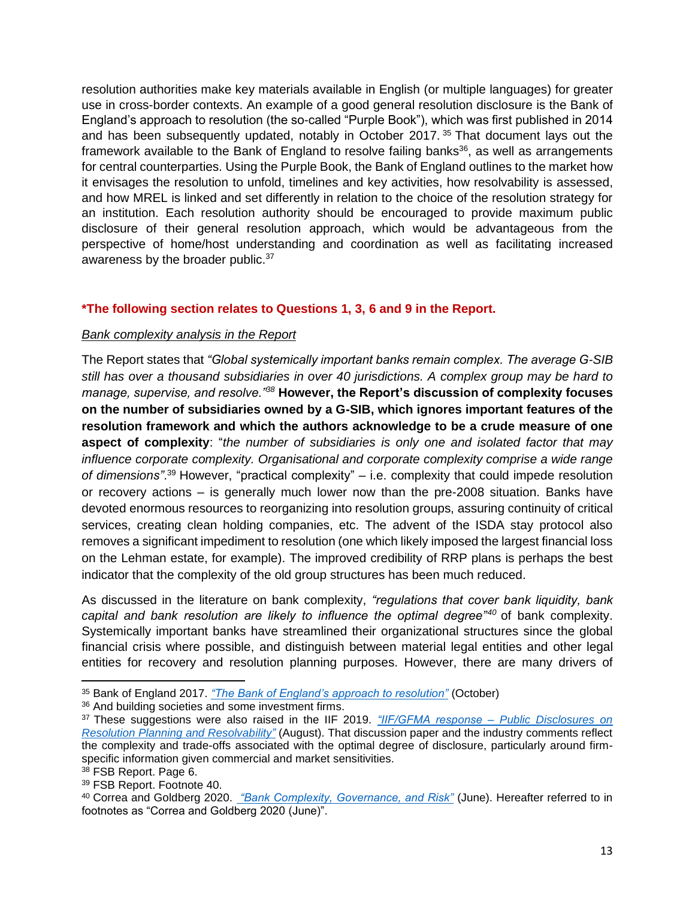resolution authorities make key materials available in English (or multiple languages) for greater use in cross-border contexts. An example of a good general resolution disclosure is the Bank of England's approach to resolution (the so-called "Purple Book"), which was first published in 2014 and has been subsequently updated, notably in October 2017.<sup>35</sup> That document lays out the framework available to the Bank of England to resolve failing banks<sup>36</sup>, as well as arrangements for central counterparties. Using the Purple Book, the Bank of England outlines to the market how it envisages the resolution to unfold, timelines and key activities, how resolvability is assessed, and how MREL is linked and set differently in relation to the choice of the resolution strategy for an institution. Each resolution authority should be encouraged to provide maximum public disclosure of their general resolution approach, which would be advantageous from the perspective of home/host understanding and coordination as well as facilitating increased awareness by the broader public.<sup>37</sup>

### **\*The following section relates to Questions 1, 3, 6 and 9 in the Report.**

#### *Bank complexity analysis in the Report*

The Report states that *"Global systemically important banks remain complex. The average G-SIB still has over a thousand subsidiaries in over 40 jurisdictions. A complex group may be hard to manage, supervise, and resolve."<sup>38</sup>* **However, the Report's discussion of complexity focuses on the number of subsidiaries owned by a G-SIB, which ignores important features of the resolution framework and which the authors acknowledge to be a crude measure of one aspect of complexity**: "*the number of subsidiaries is only one and isolated factor that may influence corporate complexity. Organisational and corporate complexity comprise a wide range of dimensions"*. <sup>39</sup> However, "practical complexity" – i.e. complexity that could impede resolution or recovery actions – is generally much lower now than the pre-2008 situation. Banks have devoted enormous resources to reorganizing into resolution groups, assuring continuity of critical services, creating clean holding companies, etc. The advent of the ISDA stay protocol also removes a significant impediment to resolution (one which likely imposed the largest financial loss on the Lehman estate, for example). The improved credibility of RRP plans is perhaps the best indicator that the complexity of the old group structures has been much reduced.

As discussed in the literature on bank complexity, *"regulations that cover bank liquidity, bank capital and bank resolution are likely to influence the optimal degree"<sup>40</sup>* of bank complexity. Systemically important banks have streamlined their organizational structures since the global financial crisis where possible, and distinguish between material legal entities and other legal entities for recovery and resolution planning purposes. However, there are many drivers of

<sup>36</sup> And building societies and some investment firms.

<sup>35</sup> Bank of England 2017. *["The Bank of England's approach to resolution"](https://www.bankofengland.co.uk/-/media/boe/files/news/2017/october/the-bank-of-england-approach-to-resolution)* (October)

<sup>37</sup> These suggestions were also raised in the IIF 2019. *["IIF/GFMA response –](https://www.iif.com/Portals/0/Files/content/Research/080119_iif_gfma_response_fsb_resolution_disclosure.pdf) Public Disclosures on [Resolution Planning and Resolvability"](https://www.iif.com/Portals/0/Files/content/Research/080119_iif_gfma_response_fsb_resolution_disclosure.pdf)* (August). That discussion paper and the industry comments reflect the complexity and trade-offs associated with the optimal degree of disclosure, particularly around firmspecific information given commercial and market sensitivities.

<sup>38</sup> FSB Report. Page 6.

<sup>39</sup> FSB Report. Footnote 40.

<sup>40</sup> Correa and Goldberg 2020. *["Bank Complexity, Governance, and Risk"](https://www.federalreserve.gov/econres/ifdp/files/ifdp1287.pdf)* (June). Hereafter referred to in footnotes as "Correa and Goldberg 2020 (June)".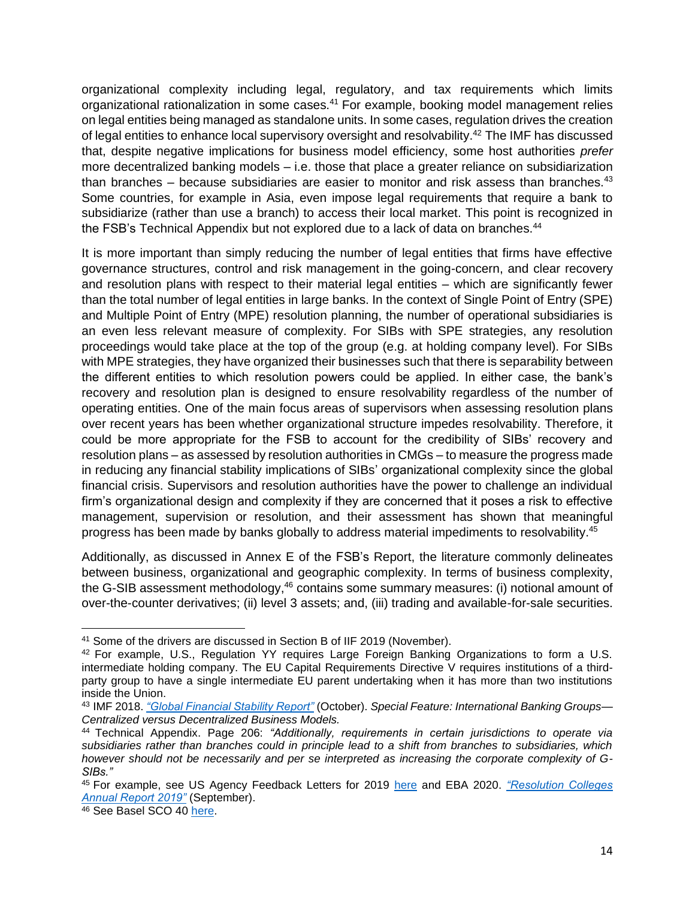organizational complexity including legal, regulatory, and tax requirements which limits organizational rationalization in some cases.<sup>41</sup> For example, booking model management relies on legal entities being managed as standalone units. In some cases, regulation drives the creation of legal entities to enhance local supervisory oversight and resolvability.<sup>42</sup> The IMF has discussed that, despite negative implications for business model efficiency, some host authorities *prefer* more decentralized banking models – i.e. those that place a greater reliance on subsidiarization than branches – because subsidiaries are easier to monitor and risk assess than branches. $43$ Some countries, for example in Asia, even impose legal requirements that require a bank to subsidiarize (rather than use a branch) to access their local market. This point is recognized in the FSB's Technical Appendix but not explored due to a lack of data on branches.<sup>44</sup>

It is more important than simply reducing the number of legal entities that firms have effective governance structures, control and risk management in the going-concern, and clear recovery and resolution plans with respect to their material legal entities – which are significantly fewer than the total number of legal entities in large banks. In the context of Single Point of Entry (SPE) and Multiple Point of Entry (MPE) resolution planning, the number of operational subsidiaries is an even less relevant measure of complexity. For SIBs with SPE strategies, any resolution proceedings would take place at the top of the group (e.g. at holding company level). For SIBs with MPE strategies, they have organized their businesses such that there is separability between the different entities to which resolution powers could be applied. In either case, the bank's recovery and resolution plan is designed to ensure resolvability regardless of the number of operating entities. One of the main focus areas of supervisors when assessing resolution plans over recent years has been whether organizational structure impedes resolvability. Therefore, it could be more appropriate for the FSB to account for the credibility of SIBs' recovery and resolution plans – as assessed by resolution authorities in CMGs – to measure the progress made in reducing any financial stability implications of SIBs' organizational complexity since the global financial crisis. Supervisors and resolution authorities have the power to challenge an individual firm's organizational design and complexity if they are concerned that it poses a risk to effective management, supervision or resolution, and their assessment has shown that meaningful progress has been made by banks globally to address material impediments to resolvability.<sup>45</sup>

Additionally, as discussed in Annex E of the FSB's Report, the literature commonly delineates between business, organizational and geographic complexity. In terms of business complexity, the G-SIB assessment methodology,<sup>46</sup> contains some summary measures: (i) notional amount of over-the-counter derivatives; (ii) level 3 assets; and, (iii) trading and available-for-sale securities.

<sup>41</sup> Some of the drivers are discussed in Section B of IIF 2019 (November).

<sup>42</sup> For example, U.S., Regulation YY requires Large Foreign Banking Organizations to form a U.S. intermediate holding company. The EU Capital Requirements Directive V requires institutions of a thirdparty group to have a single intermediate EU parent undertaking when it has more than two institutions inside the Union.

<sup>43</sup> IMF 2018. *["Global Financial Stability Report"](https://www.imf.org/en/Publications/GFSR/Issues/2018/09/25/Global-Financial-Stability-Report-October-2018)* (October). *Special Feature: International Banking Groups— Centralized versus Decentralized Business Models.*

<sup>44</sup> Technical Appendix. Page 206: *"Additionally, requirements in certain jurisdictions to operate via subsidiaries rather than branches could in principle lead to a shift from branches to subsidiaries, which however should not be necessarily and per se interpreted as increasing the corporate complexity of G-SIBs."*

<sup>45</sup> For example, see US Agency Feedback Letters for 2019 [here](https://www.federalreserve.gov/supervisionreg/agency-feedback-letters-2019.htm) and EBA 2020. *["Resolution Colleges](https://eba.europa.eu/sites/default/documents/files/document_library/Publications/Reports/2020/930479/2019%20Annual%20Report%20on%20Resolution%20Colleges-final.pdf)  [Annual Report 2019"](https://eba.europa.eu/sites/default/documents/files/document_library/Publications/Reports/2020/930479/2019%20Annual%20Report%20on%20Resolution%20Colleges-final.pdf)* (September).

<sup>46</sup> See Basel SCO 40 [here.](https://www.bis.org/basel_framework/chapter/SCO/40.htm?inforce=20191215)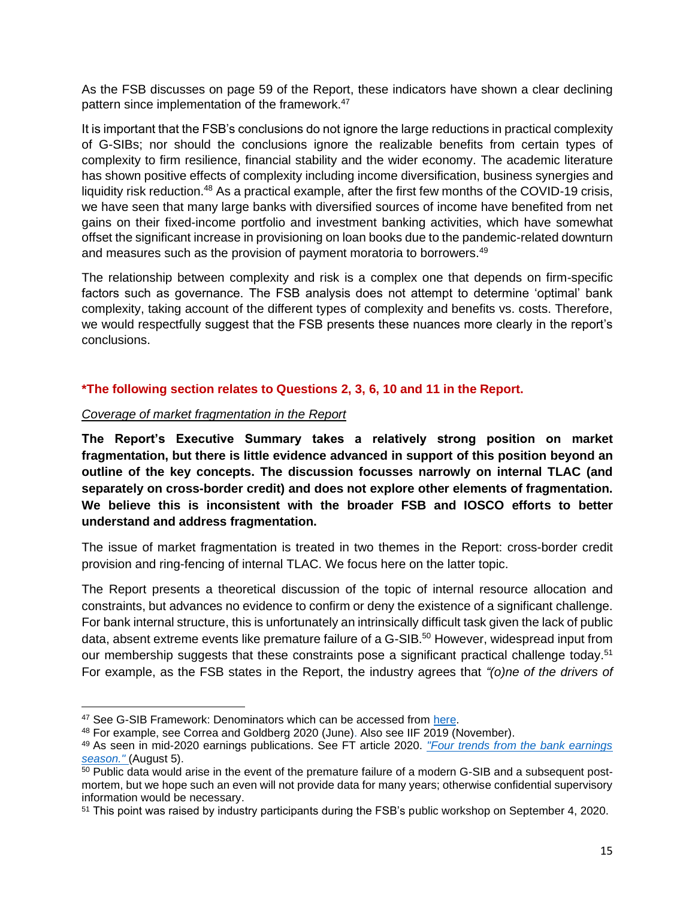As the FSB discusses on page 59 of the Report, these indicators have shown a clear declining pattern since implementation of the framework.<sup>47</sup>

It is important that the FSB's conclusions do not ignore the large reductions in practical complexity of G-SIBs; nor should the conclusions ignore the realizable benefits from certain types of complexity to firm resilience, financial stability and the wider economy. The academic literature has shown positive effects of complexity including income diversification, business synergies and liquidity risk reduction.<sup>48</sup> As a practical example, after the first few months of the COVID-19 crisis, we have seen that many large banks with diversified sources of income have benefited from net gains on their fixed-income portfolio and investment banking activities, which have somewhat offset the significant increase in provisioning on loan books due to the pandemic-related downturn and measures such as the provision of payment moratoria to borrowers.<sup>49</sup>

The relationship between complexity and risk is a complex one that depends on firm-specific factors such as governance. The FSB analysis does not attempt to determine 'optimal' bank complexity, taking account of the different types of complexity and benefits vs. costs. Therefore, we would respectfully suggest that the FSB presents these nuances more clearly in the report's conclusions.

### **\*The following section relates to Questions 2, 3, 6, 10 and 11 in the Report.**

#### *Coverage of market fragmentation in the Report*

**The Report's Executive Summary takes a relatively strong position on market fragmentation, but there is little evidence advanced in support of this position beyond an outline of the key concepts. The discussion focusses narrowly on internal TLAC (and separately on cross-border credit) and does not explore other elements of fragmentation. We believe this is inconsistent with the broader FSB and IOSCO efforts to better understand and address fragmentation.** 

The issue of market fragmentation is treated in two themes in the Report: cross-border credit provision and ring-fencing of internal TLAC. We focus here on the latter topic.

The Report presents a theoretical discussion of the topic of internal resource allocation and constraints, but advances no evidence to confirm or deny the existence of a significant challenge. For bank internal structure, this is unfortunately an intrinsically difficult task given the lack of public data, absent extreme events like premature failure of a G-SIB. <sup>50</sup> However, widespread input from our membership suggests that these constraints pose a significant practical challenge today.<sup>51</sup> For example, as the FSB states in the Report, the industry agrees that *"(o)ne of the drivers of* 

<sup>&</sup>lt;sup>47</sup> See G-SIB Framework: Denominators which can be accessed from [here.](https://www.bis.org/bcbs/gsib/denominators.htm)

<sup>48</sup> For example, see Correa and Goldberg 2020 (June). Also see IIF 2019 (November).

<sup>49</sup> As seen in mid-2020 earnings publications. See FT article 2020. *["Four trends from the bank earnings](https://www.ft.com/content/b27c6f55-7c49-4221-90e1-0f142506e39c)  [season."](https://www.ft.com/content/b27c6f55-7c49-4221-90e1-0f142506e39c)* (August 5).

<sup>&</sup>lt;sup>50</sup> Public data would arise in the event of the premature failure of a modern G-SIB and a subsequent postmortem, but we hope such an even will not provide data for many years; otherwise confidential supervisory information would be necessary.

<sup>51</sup> This point was raised by industry participants during the FSB's public workshop on September 4, 2020.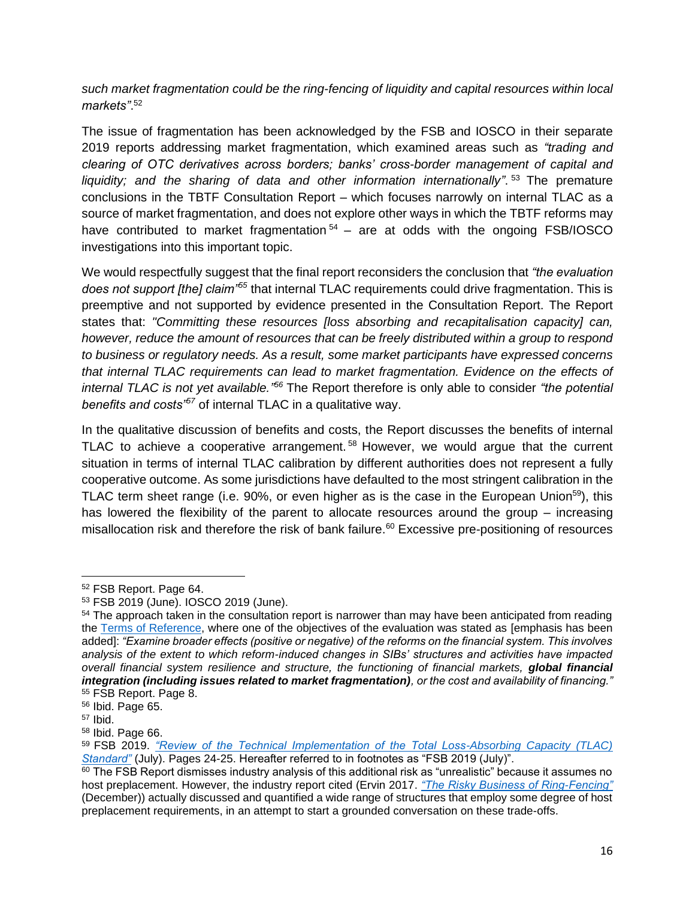*such market fragmentation could be the ring-fencing of liquidity and capital resources within local markets"*. 52

The issue of fragmentation has been acknowledged by the FSB and IOSCO in their separate 2019 reports addressing market fragmentation, which examined areas such as *"trading and clearing of OTC derivatives across borders; banks' cross-border management of capital and liquidity; and the sharing of data and other information internationally"*. <sup>53</sup> The premature conclusions in the TBTF Consultation Report – which focuses narrowly on internal TLAC as a source of market fragmentation, and does not explore other ways in which the TBTF reforms may have contributed to market fragmentation  $54 -$  are at odds with the ongoing FSB/IOSCO investigations into this important topic.

We would respectfully suggest that the final report reconsiders the conclusion that *"the evaluation does not support [the] claim"<sup>55</sup>* that internal TLAC requirements could drive fragmentation. This is preemptive and not supported by evidence presented in the Consultation Report. The Report states that: *"Committing these resources [loss absorbing and recapitalisation capacity] can, however, reduce the amount of resources that can be freely distributed within a group to respond to business or regulatory needs. As a result, some market participants have expressed concerns that internal TLAC requirements can lead to market fragmentation. Evidence on the effects of internal TLAC is not yet available." <sup>56</sup>* The Report therefore is only able to consider *"the potential benefits and costs"<sup>57</sup>* of internal TLAC in a qualitative way.

In the qualitative discussion of benefits and costs, the Report discusses the benefits of internal TLAC to achieve a cooperative arrangement.<sup>58</sup> However, we would argue that the current situation in terms of internal TLAC calibration by different authorities does not represent a fully cooperative outcome. As some jurisdictions have defaulted to the most stringent calibration in the TLAC term sheet range (i.e. 90%, or even higher as is the case in the European Union<sup>59</sup>), this has lowered the flexibility of the parent to allocate resources around the group – increasing misallocation risk and therefore the risk of bank failure.<sup>60</sup> Excessive pre-positioning of resources

<sup>52</sup> FSB Report. Page 64.

<sup>53</sup> FSB 2019 (June). IOSCO 2019 (June).

<sup>&</sup>lt;sup>54</sup> The approach taken in the consultation report is narrower than may have been anticipated from reading the [Terms of Reference,](https://www.fsb.org/wp-content/uploads/P230519.pdf) where one of the objectives of the evaluation was stated as [emphasis has been added]: *"Examine broader effects (positive or negative) of the reforms on the financial system. This involves analysis of the extent to which reform-induced changes in SIBs' structures and activities have impacted overall financial system resilience and structure, the functioning of financial markets, global financial integration (including issues related to market fragmentation), or the cost and availability of financing."* <sup>55</sup> FSB Report. Page 8.

<sup>56</sup> Ibid. Page 65.

 $57$  Ibid.

<sup>58</sup> Ibid. Page 66.

<sup>59</sup> FSB 2019. *["Review of the Technical Implementation of the Total Loss-Absorbing Capacity \(TLAC\)](https://www.fsb.org/2019/07/review-of-the-technical-implementation-of-the-total-loss-absorbing-capacity-tlac-standard/)  [Standard"](https://www.fsb.org/2019/07/review-of-the-technical-implementation-of-the-total-loss-absorbing-capacity-tlac-standard/)* (July). Pages 24-25. Hereafter referred to in footnotes as "FSB 2019 (July)".

<sup>60</sup> The FSB Report dismisses industry analysis of this additional risk as "unrealistic" because it assumes no host preplacement. However, the industry report cited (Ervin 2017. *["The Risky Business of Ring-Fencing"](https://papers.ssrn.com/sol3/papers.cfm?abstract_id=3085649)* (December)) actually discussed and quantified a wide range of structures that employ some degree of host preplacement requirements, in an attempt to start a grounded conversation on these trade-offs.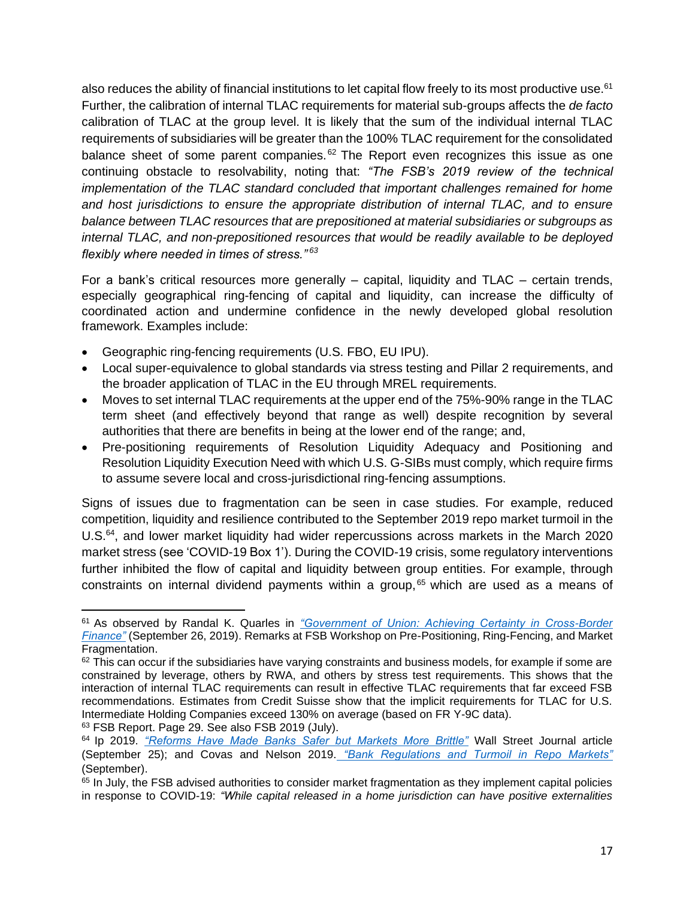also reduces the ability of financial institutions to let capital flow freely to its most productive use.<sup>61</sup> Further, the calibration of internal TLAC requirements for material sub-groups affects the *de facto* calibration of TLAC at the group level. It is likely that the sum of the individual internal TLAC requirements of subsidiaries will be greater than the 100% TLAC requirement for the consolidated balance sheet of some parent companies. $62$  The Report even recognizes this issue as one continuing obstacle to resolvability, noting that: *"The FSB's 2019 review of the technical implementation of the TLAC standard concluded that important challenges remained for home and host jurisdictions to ensure the appropriate distribution of internal TLAC, and to ensure balance between TLAC resources that are prepositioned at material subsidiaries or subgroups as internal TLAC, and non-prepositioned resources that would be readily available to be deployed flexibly where needed in times of stress." <sup>63</sup>*

For a bank's critical resources more generally – capital, liquidity and TLAC – certain trends, especially geographical ring-fencing of capital and liquidity, can increase the difficulty of coordinated action and undermine confidence in the newly developed global resolution framework. Examples include:

- Geographic ring-fencing requirements (U.S. FBO, EU IPU).
- Local super-equivalence to global standards via stress testing and Pillar 2 requirements, and the broader application of TLAC in the EU through MREL requirements.
- Moves to set internal TLAC requirements at the upper end of the 75%-90% range in the TLAC term sheet (and effectively beyond that range as well) despite recognition by several authorities that there are benefits in being at the lower end of the range; and,
- Pre-positioning requirements of Resolution Liquidity Adequacy and Positioning and Resolution Liquidity Execution Need with which U.S. G-SIBs must comply, which require firms to assume severe local and cross-jurisdictional ring-fencing assumptions.

Signs of issues due to fragmentation can be seen in case studies. For example, reduced competition, liquidity and resilience contributed to the September 2019 repo market turmoil in the U.S.<sup>64</sup>, and lower market liquidity had wider repercussions across markets in the March 2020 market stress (see 'COVID-19 Box 1'). During the COVID-19 crisis, some regulatory interventions further inhibited the flow of capital and liquidity between group entities. For example, through constraints on internal dividend payments within a group, <sup>65</sup> which are used as a means of

<sup>63</sup> FSB Report. Page 29. See also FSB 2019 (July).

<sup>61</sup> As observed by Randal K. Quarles in *["Government of Union: Achieving Certainty in Cross-Border](https://www.bis.org/review/r190930c.htm)  [Finance"](https://www.bis.org/review/r190930c.htm)* (September 26, 2019). Remarks at FSB Workshop on Pre-Positioning, Ring-Fencing, and Market Fragmentation.

 $62$  This can occur if the subsidiaries have varying constraints and business models, for example if some are constrained by leverage, others by RWA, and others by stress test requirements. This shows that the interaction of internal TLAC requirements can result in effective TLAC requirements that far exceed FSB recommendations. Estimates from Credit Suisse show that the implicit requirements for TLAC for U.S. Intermediate Holding Companies exceed 130% on average (based on FR Y-9C data).

<sup>64</sup> Ip 2019. *["Reforms Have Made Banks Safer but Markets More Brittle"](https://www.wsj.com/articles/reforms-have-made-banks-safer-but-markets-more-brittle-11569416725)* Wall Street Journal article (September 25); and Covas and Nelson 2019. *["Bank Regulations and Turmoil in Repo Markets"](https://bpi.com/bank-regulations-and-turmoil-in-repo-markets/)* (September).

<sup>65</sup> In July, the FSB advised authorities to consider market fragmentation as they implement capital policies in response to COVID-19: *"While capital released in a home jurisdiction can have positive externalities*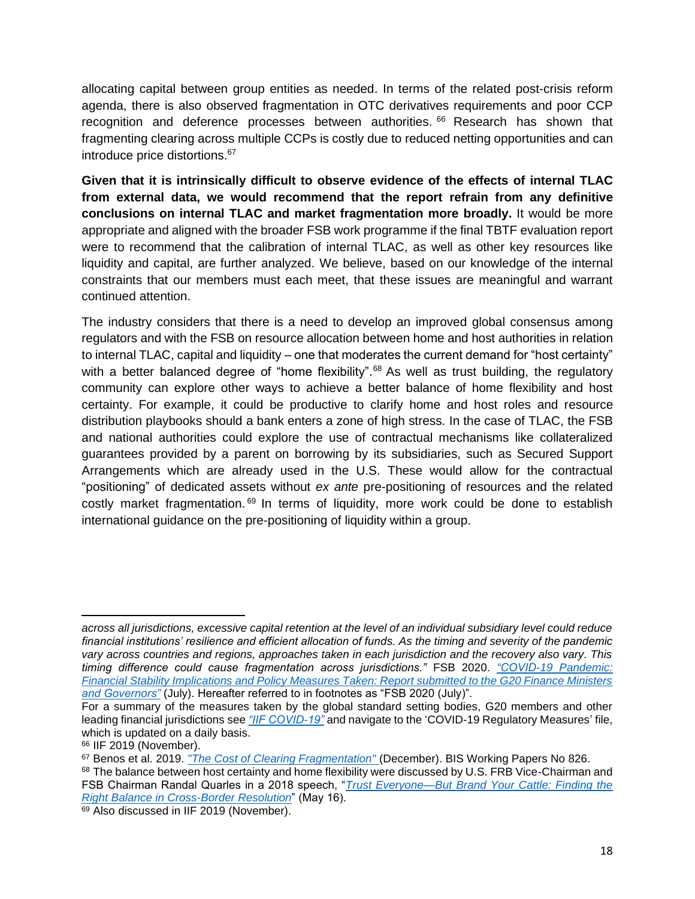allocating capital between group entities as needed. In terms of the related post-crisis reform agenda, there is also observed fragmentation in OTC derivatives requirements and poor CCP recognition and deference processes between authorities. <sup>66</sup> Research has shown that fragmenting clearing across multiple CCPs is costly due to reduced netting opportunities and can introduce price distortions. 67

**Given that it is intrinsically difficult to observe evidence of the effects of internal TLAC from external data, we would recommend that the report refrain from any definitive conclusions on internal TLAC and market fragmentation more broadly.** It would be more appropriate and aligned with the broader FSB work programme if the final TBTF evaluation report were to recommend that the calibration of internal TLAC, as well as other key resources like liquidity and capital, are further analyzed. We believe, based on our knowledge of the internal constraints that our members must each meet, that these issues are meaningful and warrant continued attention.

The industry considers that there is a need to develop an improved global consensus among regulators and with the FSB on resource allocation between home and host authorities in relation to internal TLAC, capital and liquidity – one that moderates the current demand for "host certainty" with a better balanced degree of "home flexibility".<sup>68</sup> As well as trust building, the regulatory community can explore other ways to achieve a better balance of home flexibility and host certainty. For example, it could be productive to clarify home and host roles and resource distribution playbooks should a bank enters a zone of high stress. In the case of TLAC, the FSB and national authorities could explore the use of contractual mechanisms like collateralized guarantees provided by a parent on borrowing by its subsidiaries, such as Secured Support Arrangements which are already used in the U.S. These would allow for the contractual "positioning" of dedicated assets without *ex ante* pre-positioning of resources and the related costly market fragmentation. <sup>69</sup> In terms of liquidity, more work could be done to establish international guidance on the pre-positioning of liquidity within a group.

*across all jurisdictions, excessive capital retention at the level of an individual subsidiary level could reduce financial institutions' resilience and efficient allocation of funds. As the timing and severity of the pandemic vary across countries and regions, approaches taken in each jurisdiction and the recovery also vary. This timing difference could cause fragmentation across jurisdictions."* FSB 2020. *["COVID-19 Pandemic:](https://www.fsb.org/wp-content/uploads/P150720-2.pdf)  [Financial Stability Implications and Policy Measures Taken: Report submitted to the G20 Finance Ministers](https://www.fsb.org/wp-content/uploads/P150720-2.pdf)  [and Governors"](https://www.fsb.org/wp-content/uploads/P150720-2.pdf)* (July). Hereafter referred to in footnotes as "FSB 2020 (July)".

For a summary of the measures taken by the global standard setting bodies, G20 members and other leading financial jurisdictions see *["IIF COVID-19"](https://www.iif.com/COVID-19)* and navigate to the 'COVID-19 Regulatory Measures' file, which is updated on a daily basis.

<sup>&</sup>lt;sup>66</sup> IIF 2019 (November).

<sup>67</sup> Benos et al. 2019. *["The Cost of Clearing Fragmentation"](https://www.bis.org/publ/work826.pdf)* (December). BIS Working Papers No 826.

<sup>68</sup> The balance between host certainty and home flexibility were discussed by U.S. FRB Vice-Chairman and FSB Chairman Randal Quarles in a 2018 speech, "*[Trust Everyone—But Brand Your Cattle: Finding the](https://www.federalreserve.gov/newsevents/speech/files/quarles20180516a.pdf)  [Right Balance in Cross-Border Resolution](https://www.federalreserve.gov/newsevents/speech/files/quarles20180516a.pdf)*" (May 16).

<sup>69</sup> Also discussed in IIF 2019 (November).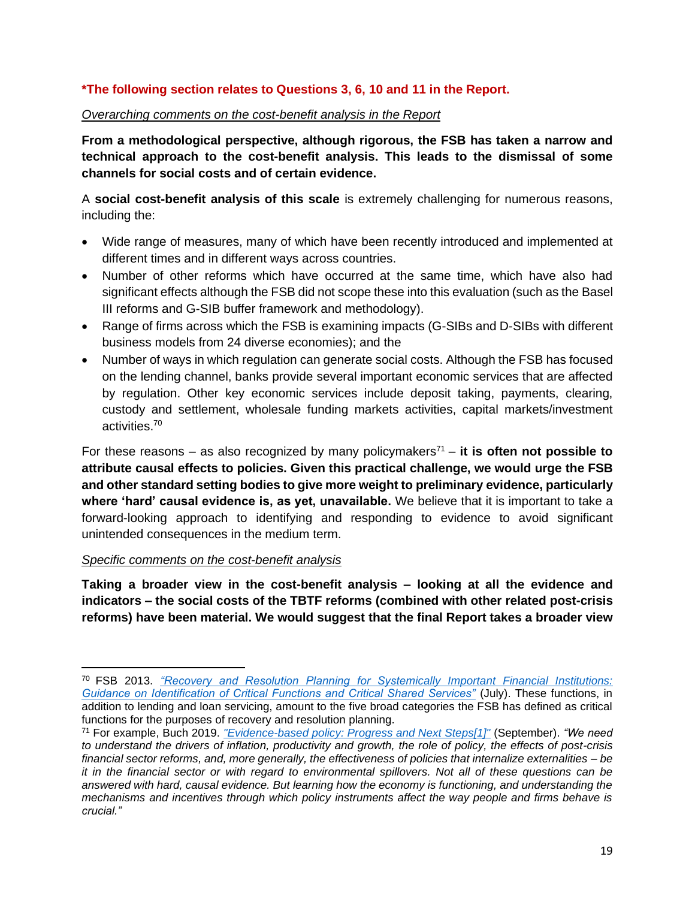### **\*The following section relates to Questions 3, 6, 10 and 11 in the Report.**

#### *Overarching comments on the cost-benefit analysis in the Report*

**From a methodological perspective, although rigorous, the FSB has taken a narrow and technical approach to the cost-benefit analysis. This leads to the dismissal of some channels for social costs and of certain evidence.**

A **social cost-benefit analysis of this scale** is extremely challenging for numerous reasons, including the:

- Wide range of measures, many of which have been recently introduced and implemented at different times and in different ways across countries.
- Number of other reforms which have occurred at the same time, which have also had significant effects although the FSB did not scope these into this evaluation (such as the Basel III reforms and G-SIB buffer framework and methodology).
- Range of firms across which the FSB is examining impacts (G-SIBs and D-SIBs with different business models from 24 diverse economies); and the
- Number of ways in which regulation can generate social costs. Although the FSB has focused on the lending channel, banks provide several important economic services that are affected by regulation. Other key economic services include deposit taking, payments, clearing, custody and settlement, wholesale funding markets activities, capital markets/investment activities.<sup>70</sup>

For these reasons – as also recognized by many policymakers<sup> $71$ </sup> – it is often not possible to **attribute causal effects to policies. Given this practical challenge, we would urge the FSB and other standard setting bodies to give more weight to preliminary evidence, particularly where 'hard' causal evidence is, as yet, unavailable.** We believe that it is important to take a forward-looking approach to identifying and responding to evidence to avoid significant unintended consequences in the medium term.

#### *Specific comments on the cost-benefit analysis*

**Taking a broader view in the cost-benefit analysis – looking at all the evidence and indicators – the social costs of the TBTF reforms (combined with other related post-crisis reforms) have been material. We would suggest that the final Report takes a broader view** 

<sup>70</sup> FSB 2013. *["Recovery and Resolution Planning for Systemically Important Financial Institutions:](https://www.fsb.org/wp-content/uploads/r_130716a.pdf)  [Guidance on Identification of Critical Functions and Critical Shared Services"](https://www.fsb.org/wp-content/uploads/r_130716a.pdf)* (July). These functions, in addition to lending and loan servicing, amount to the five broad categories the FSB has defined as critical functions for the purposes of recovery and resolution planning.

<sup>71</sup> For example, Buch 2019. *["Evidence-based policy: Progress and Next Steps\[1\]"](https://www.bis.org/review/r190925a.pdf)* (September). *"We need to understand the drivers of inflation, productivity and growth, the role of policy, the effects of post-crisis financial sector reforms, and, more generally, the effectiveness of policies that internalize externalities – be it in the financial sector or with regard to environmental spillovers. Not all of these questions can be answered with hard, causal evidence. But learning how the economy is functioning, and understanding the mechanisms and incentives through which policy instruments affect the way people and firms behave is crucial."*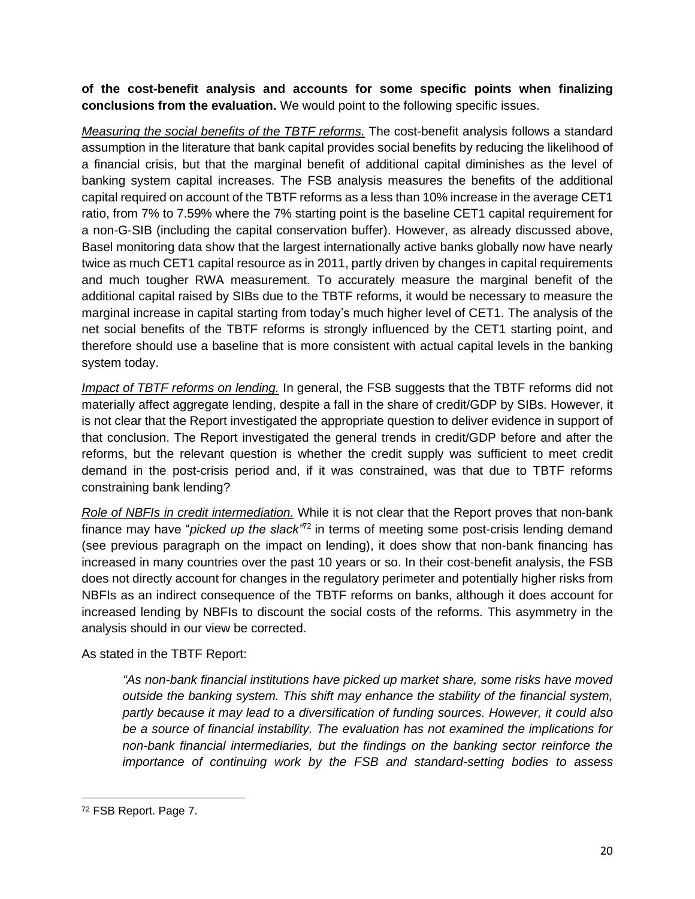**of the cost-benefit analysis and accounts for some specific points when finalizing conclusions from the evaluation.** We would point to the following specific issues.

*Measuring the social benefits of the TBTF reforms.* The cost-benefit analysis follows a standard assumption in the literature that bank capital provides social benefits by reducing the likelihood of a financial crisis, but that the marginal benefit of additional capital diminishes as the level of banking system capital increases. The FSB analysis measures the benefits of the additional capital required on account of the TBTF reforms as a less than 10% increase in the average CET1 ratio, from 7% to 7.59% where the 7% starting point is the baseline CET1 capital requirement for a non-G-SIB (including the capital conservation buffer). However, as already discussed above, Basel monitoring data show that the largest internationally active banks globally now have nearly twice as much CET1 capital resource as in 2011, partly driven by changes in capital requirements and much tougher RWA measurement. To accurately measure the marginal benefit of the additional capital raised by SIBs due to the TBTF reforms, it would be necessary to measure the marginal increase in capital starting from today's much higher level of CET1. The analysis of the net social benefits of the TBTF reforms is strongly influenced by the CET1 starting point, and therefore should use a baseline that is more consistent with actual capital levels in the banking system today.

*Impact of TBTF reforms on lending.* In general, the FSB suggests that the TBTF reforms did not materially affect aggregate lending, despite a fall in the share of credit/GDP by SIBs. However, it is not clear that the Report investigated the appropriate question to deliver evidence in support of that conclusion. The Report investigated the general trends in credit/GDP before and after the reforms, but the relevant question is whether the credit supply was sufficient to meet credit demand in the post-crisis period and, if it was constrained, was that due to TBTF reforms constraining bank lending?

*Role of NBFIs in credit intermediation.* While it is not clear that the Report proves that non-bank finance may have "*picked up the slack"*<sup>72</sup> in terms of meeting some post-crisis lending demand (see previous paragraph on the impact on lending), it does show that non-bank financing has increased in many countries over the past 10 years or so. In their cost-benefit analysis, the FSB does not directly account for changes in the regulatory perimeter and potentially higher risks from NBFIs as an indirect consequence of the TBTF reforms on banks, although it does account for increased lending by NBFIs to discount the social costs of the reforms. This asymmetry in the analysis should in our view be corrected.

# As stated in the TBTF Report:

*"As non-bank financial institutions have picked up market share, some risks have moved outside the banking system. This shift may enhance the stability of the financial system, partly because it may lead to a diversification of funding sources. However, it could also be a source of financial instability. The evaluation has not examined the implications for non-bank financial intermediaries, but the findings on the banking sector reinforce the importance of continuing work by the FSB and standard-setting bodies to assess* 

<sup>72</sup> FSB Report. Page 7.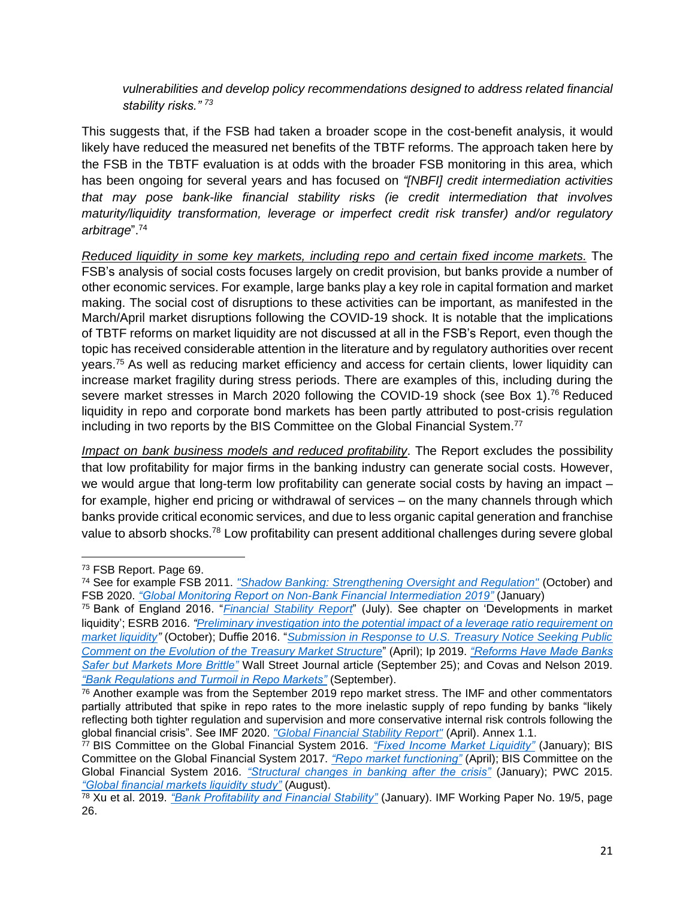*vulnerabilities and develop policy recommendations designed to address related financial stability risks." <sup>73</sup>*

This suggests that, if the FSB had taken a broader scope in the cost-benefit analysis, it would likely have reduced the measured net benefits of the TBTF reforms. The approach taken here by the FSB in the TBTF evaluation is at odds with the broader FSB monitoring in this area, which has been ongoing for several years and has focused on *"[NBFI] credit intermediation activities that may pose bank-like financial stability risks (ie credit intermediation that involves maturity/liquidity transformation, leverage or imperfect credit risk transfer) and/or regulatory arbitrage*". 74

*Reduced liquidity in some key markets, including repo and certain fixed income markets.* The FSB's analysis of social costs focuses largely on credit provision, but banks provide a number of other economic services. For example, large banks play a key role in capital formation and market making. The social cost of disruptions to these activities can be important, as manifested in the March/April market disruptions following the COVID-19 shock. It is notable that the implications of TBTF reforms on market liquidity are not discussed at all in the FSB's Report, even though the topic has received considerable attention in the literature and by regulatory authorities over recent years.<sup>75</sup> As well as reducing market efficiency and access for certain clients, lower liquidity can increase market fragility during stress periods. There are examples of this, including during the severe market stresses in March 2020 following the COVID-19 shock (see Box 1).<sup>76</sup> Reduced liquidity in repo and corporate bond markets has been partly attributed to post-crisis regulation including in two reports by the BIS Committee on the Global Financial System.<sup>77</sup>

*Impact on bank business models and reduced profitability*. The Report excludes the possibility that low profitability for major firms in the banking industry can generate social costs. However, we would argue that long-term low profitability can generate social costs by having an impact – for example, higher end pricing or withdrawal of services – on the many channels through which banks provide critical economic services, and due to less organic capital generation and franchise value to absorb shocks.<sup>78</sup> Low profitability can present additional challenges during severe global

<sup>73</sup> FSB Report. Page 69.

<sup>74</sup> See for example FSB 2011. *["Shadow Banking: Strengthening Oversight and Regulation"](https://www.fsb.org/wp-content/uploads/r_111027a.pdf)* (October) and FSB 2020. *"Global Monitoring Report on [Non-Bank Financial Intermediation 2019"](https://www.fsb.org/wp-content/uploads/P190120.pdf)* (January)

<sup>75</sup> Bank of England 2016. "*[Financial Stability Report](https://www.bankofengland.co.uk/-/media/boe/files/financial-stability-report/2016/july-2016.pdf)*" (July). See chapter on 'Developments in market liquidity'; ESRB 2016. *["Preliminary investigation into the potential impact of a leverage ratio requirement on](https://www.organisationmsi.org/docs/reglementation/Preliminary_investigation_into_the_potential_of_a_leverage_ratio_requirement_on_market_liquidity_en_by_ESRB_Oct2016.pdf)  [market liquidity"](https://www.organisationmsi.org/docs/reglementation/Preliminary_investigation_into_the_potential_of_a_leverage_ratio_requirement_on_market_liquidity_en_by_ESRB_Oct2016.pdf)* (October); Duffie 2016. "*[Submission in Response to U.S. Treasury Notice Seeking Public](https://www.darrellduffie.com/uploads/policy/DuffieTreasuryRFIApril2016.pdf)  [Comment on the Evolution of the Treasury Market Structure](https://www.darrellduffie.com/uploads/policy/DuffieTreasuryRFIApril2016.pdf)*" (April); Ip 2019. *["Reforms Have Made Banks](https://www.wsj.com/articles/reforms-have-made-banks-safer-but-markets-more-brittle-11569416725)  [Safer but Markets More Brittle"](https://www.wsj.com/articles/reforms-have-made-banks-safer-but-markets-more-brittle-11569416725)* Wall Street Journal article (September 25); and Covas and Nelson 2019[.](https://bpi.com/bank-regulations-and-turmoil-in-repo-markets/) *["Bank Regulations and Turmoil in Repo Markets"](https://bpi.com/bank-regulations-and-turmoil-in-repo-markets/)* (September).

 $76$  Another example was from the September 2019 repo market stress. The IMF and other commentators partially attributed that spike in repo rates to the more inelastic supply of repo funding by banks "likely reflecting both tighter regulation and supervision and more conservative internal risk controls following the global financial crisis". See IMF 2020. *["Global Financial Stability Report"](https://www.elibrary.imf.org/view/IMF082/28683-9781513529196/28683-9781513529196/binaries/Global_Financial_Stability_Report_April_2020_Online_Annex_1-1.pdf?utm_source=elib&utm_campaign=sm2020&utm_medium=right_rail&redirect=true)* (April). Annex 1.1.

<sup>77</sup> BIS Committee on the Global Financial System 2016. *["Fixed Income Market Liquidity"](https://www.bis.org/publ/cgfs55.pdf)* (January); BIS Committee on the Global Financial System 2017. *["Repo market functioning"](https://www.bis.org/publ/cgfs59.pdf)* (April); BIS Committee on the Global Financial System 2016. *["Structural changes in banking after the crisis"](https://www.bis.org/publ/cgfs60.pdf)* (January); PWC 2015. *["Global financial markets liquidity study"](https://www.pwc.com/gx/en/financial-services/publications/assets/global-financial-market-liquidity-study.pdf)* (August).

<sup>78</sup> Xu et al. 2019. *["Bank Profitability and Financial Stability"](https://www.imf.org/en/Publications/WP/Issues/2019/01/11/Bank-Profitability-and-Financial-Stability-46470)* (January). IMF Working Paper No. 19/5, page 26.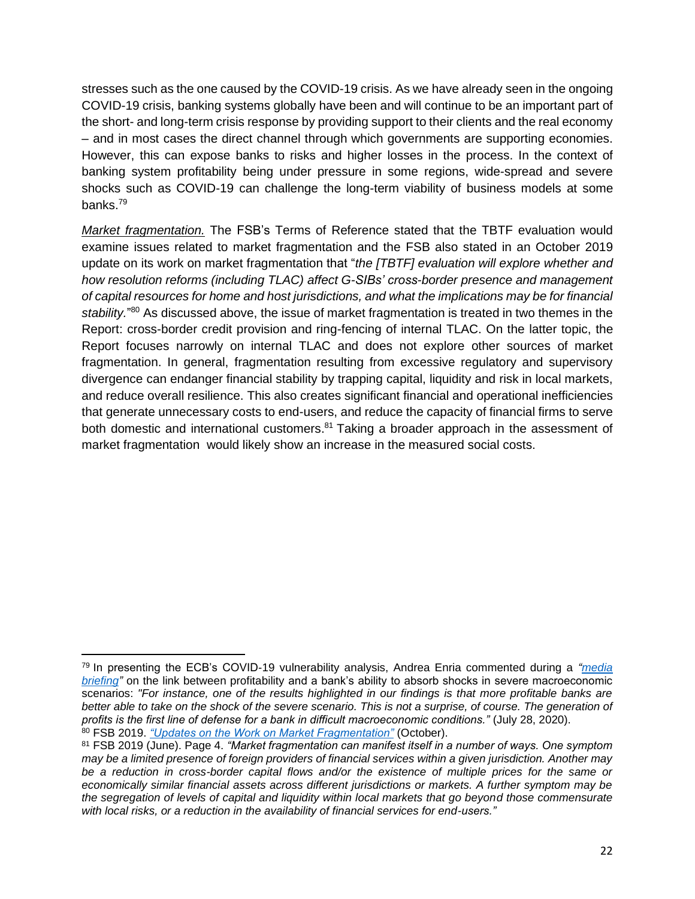stresses such as the one caused by the COVID-19 crisis. As we have already seen in the ongoing COVID-19 crisis, banking systems globally have been and will continue to be an important part of the short- and long-term crisis response by providing support to their clients and the real economy – and in most cases the direct channel through which governments are supporting economies. However, this can expose banks to risks and higher losses in the process. In the context of banking system profitability being under pressure in some regions, wide-spread and severe shocks such as COVID-19 can challenge the long-term viability of business models at some banks. 79

*Market fragmentation.* The FSB's Terms of Reference stated that the TBTF evaluation would examine issues related to market fragmentation and the FSB also stated in an October 2019 update on its work on market fragmentation that "*the [TBTF] evaluation will explore whether and how resolution reforms (including TLAC) affect G-SIBs' cross-border presence and management of capital resources for home and host jurisdictions, and what the implications may be for financial*  stability."<sup>80</sup> As discussed above, the issue of market fragmentation is treated in two themes in the Report: cross-border credit provision and ring-fencing of internal TLAC. On the latter topic, the Report focuses narrowly on internal TLAC and does not explore other sources of market fragmentation. In general, fragmentation resulting from excessive regulatory and supervisory divergence can endanger financial stability by trapping capital, liquidity and risk in local markets, and reduce overall resilience. This also creates significant financial and operational inefficiencies that generate unnecessary costs to end-users, and reduce the capacity of financial firms to serve both domestic and international customers.<sup>81</sup> Taking a broader approach in the assessment of market fragmentation would likely show an increase in the measured social costs.

<sup>79</sup> In presenting the ECB's COVID-19 vulnerability analysis, Andrea Enria commented during a *["media](https://www.bankingsupervision.europa.eu/press/speeches/date/2020/html/ssm.sp200729~4177c94f5b.en.html)  [briefing"](https://www.bankingsupervision.europa.eu/press/speeches/date/2020/html/ssm.sp200729~4177c94f5b.en.html)* on the link between profitability and a bank's ability to absorb shocks in severe macroeconomic scenarios: *"For instance, one of the results highlighted in our findings is that more profitable banks are*  better able to take on the shock of the severe scenario. This is not a surprise, of course. The generation of *profits is the first line of defense for a bank in difficult macroeconomic conditions."* (July 28, 2020). <sup>80</sup> FSB 2019. *["Updates on the Work on Market Fragmentation"](https://www.fsb.org/wp-content/uploads/P141019.pdf)* (October).

<sup>81</sup> FSB 2019 (June). Page 4. *"Market fragmentation can manifest itself in a number of ways. One symptom may be a limited presence of foreign providers of financial services within a given jurisdiction. Another may be a reduction in cross-border capital flows and/or the existence of multiple prices for the same or economically similar financial assets across different jurisdictions or markets. A further symptom may be the segregation of levels of capital and liquidity within local markets that go beyond those commensurate with local risks, or a reduction in the availability of financial services for end-users."*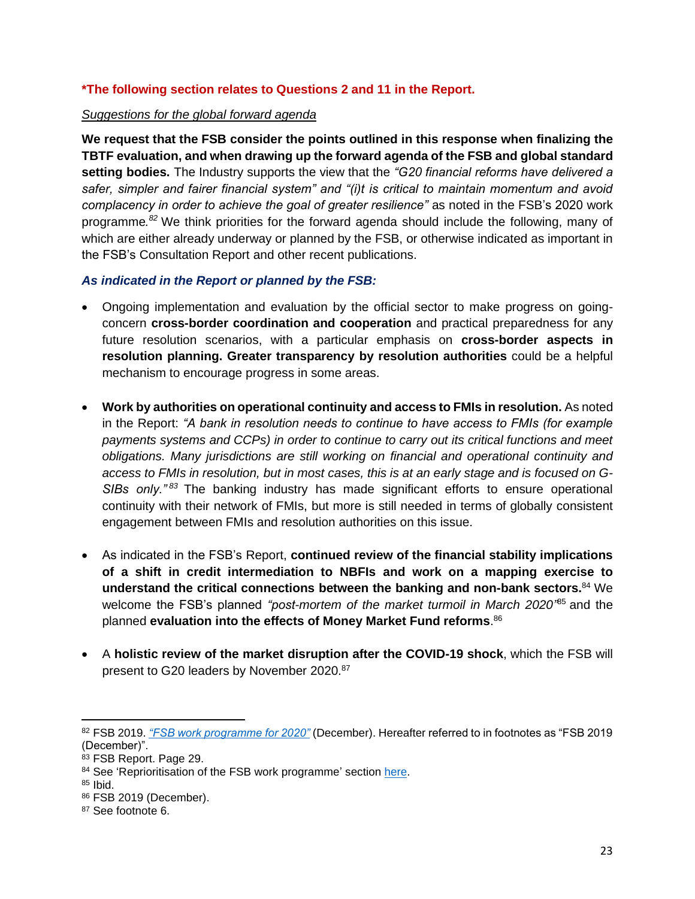### **\*The following section relates to Questions 2 and 11 in the Report.**

#### *Suggestions for the global forward agenda*

**We request that the FSB consider the points outlined in this response when finalizing the TBTF evaluation, and when drawing up the forward agenda of the FSB and global standard setting bodies.** The Industry supports the view that the *"G20 financial reforms have delivered a safer, simpler and fairer financial system" and "(i)t is critical to maintain momentum and avoid complacency in order to achieve the goal of greater resilience"* as noted in the FSB's 2020 work programme*. <sup>82</sup>* We think priorities for the forward agenda should include the following, many of which are either already underway or planned by the FSB, or otherwise indicated as important in the FSB's Consultation Report and other recent publications.

#### *As indicated in the Report or planned by the FSB:*

- Ongoing implementation and evaluation by the official sector to make progress on goingconcern **cross-border coordination and cooperation** and practical preparedness for any future resolution scenarios, with a particular emphasis on **cross-border aspects in resolution planning. Greater transparency by resolution authorities** could be a helpful mechanism to encourage progress in some areas.
- **Work by authorities on operational continuity and access to FMIs in resolution.** As noted in the Report: *"A bank in resolution needs to continue to have access to FMIs (for example payments systems and CCPs) in order to continue to carry out its critical functions and meet obligations. Many jurisdictions are still working on financial and operational continuity and access to FMIs in resolution, but in most cases, this is at an early stage and is focused on G-SIBs only." <sup>83</sup>* The banking industry has made significant efforts to ensure operational continuity with their network of FMIs, but more is still needed in terms of globally consistent engagement between FMIs and resolution authorities on this issue.
- As indicated in the FSB's Report, **continued review of the financial stability implications of a shift in credit intermediation to NBFIs and work on a mapping exercise to understand the critical connections between the banking and non-bank sectors.** <sup>84</sup> We welcome the FSB's planned *"post-mortem of the market turmoil in March 2020"* <sup>85</sup> and the planned **evaluation into the effects of Money Market Fund reforms**. 86
- A **holistic review of the market disruption after the COVID-19 shock**, which the FSB will present to G20 leaders by November 2020.<sup>87</sup>

<sup>82</sup> FSB 2019. *["FSB work programme for 2020"](https://www.fsb.org/wp-content/uploads/P171219.pdf)* (December). Hereafter referred to in footnotes as "FSB 2019 (December)".

<sup>83</sup> FSB Report. Page 29.

<sup>84</sup> See 'Reprioritisation of the FSB work programme' section [here.](https://www.fsb.org/work-of-the-fsb/addressing-financial-stability-risks-of-covid-19/)

 $85$  Ibid.

<sup>86</sup> FSB 2019 (December).

<sup>87</sup> See footnote 6.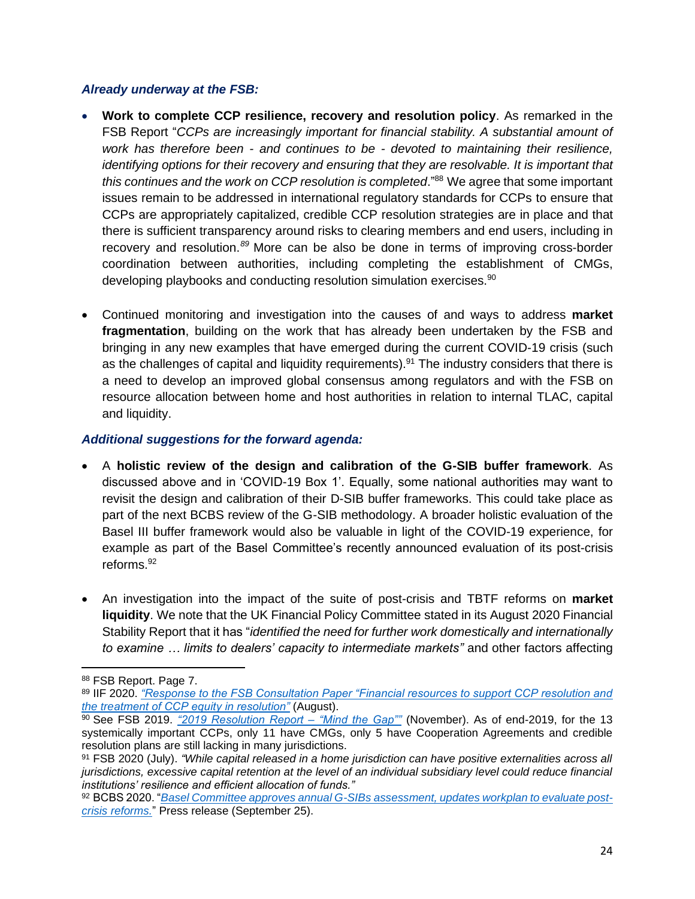#### *Already underway at the FSB:*

- **Work to complete CCP resilience, recovery and resolution policy**. As remarked in the FSB Report "*CCPs are increasingly important for financial stability. A substantial amount of work has therefore been - and continues to be - devoted to maintaining their resilience, identifying options for their recovery and ensuring that they are resolvable. It is important that this continues and the work on CCP resolution is completed*." <sup>88</sup> We agree that some important issues remain to be addressed in international regulatory standards for CCPs to ensure that CCPs are appropriately capitalized, credible CCP resolution strategies are in place and that there is sufficient transparency around risks to clearing members and end users, including in recovery and resolution.*<sup>89</sup>* More can be also be done in terms of improving cross-border coordination between authorities, including completing the establishment of CMGs, developing playbooks and conducting resolution simulation exercises.<sup>90</sup>
- Continued monitoring and investigation into the causes of and ways to address **market fragmentation**, building on the work that has already been undertaken by the FSB and bringing in any new examples that have emerged during the current COVID-19 crisis (such as the challenges of capital and liquidity requirements).<sup>91</sup> The industry considers that there is a need to develop an improved global consensus among regulators and with the FSB on resource allocation between home and host authorities in relation to internal TLAC, capital and liquidity.

#### *Additional suggestions for the forward agenda:*

- A **holistic review of the design and calibration of the G-SIB buffer framework**. As discussed above and in 'COVID-19 Box 1'. Equally, some national authorities may want to revisit the design and calibration of their D-SIB buffer frameworks. This could take place as part of the next BCBS review of the G-SIB methodology. A broader holistic evaluation of the Basel III buffer framework would also be valuable in light of the COVID-19 experience, for example as part of the Basel Committee's recently announced evaluation of its post-crisis reforms. 92
- An investigation into the impact of the suite of post-crisis and TBTF reforms on **market liquidity**. We note that the UK Financial Policy Committee stated in its August 2020 Financial Stability Report that it has "*identified the need for further work domestically and internationally to examine … limits to dealers' capacity to intermediate markets"* and other factors affecting

<sup>88</sup> FSB Report. Page 7.

<sup>89</sup> IIF 2020. *["Response to the FSB Consultation Paper "Financial resources to support CCP resolution and](https://www.iif.com/Portals/0/Files/content/Regulatory/08_20_2020_fsb.pdf)  [the treatment of CCP equity in resolution"](https://www.iif.com/Portals/0/Files/content/Regulatory/08_20_2020_fsb.pdf)* (August).

<sup>90</sup> See FSB 2019. *["2019 Resolution Report –](https://www.fsb.org/wp-content/uploads/P141119-3.pdf) "Mind the Gap""* (November). As of end-2019, for the 13 systemically important CCPs, only 11 have CMGs, only 5 have Cooperation Agreements and credible resolution plans are still lacking in many jurisdictions.

<sup>91</sup> FSB 2020 (July). *"While capital released in a home jurisdiction can have positive externalities across all jurisdictions, excessive capital retention at the level of an individual subsidiary level could reduce financial institutions' resilience and efficient allocation of funds."*

<sup>92</sup> BCBS 2020. "*Basel Committee approves annual G-SIBs [assessment, updates workplan to evaluate post](https://www.bis.org/press/p200925.htm)[crisis reforms.](https://www.bis.org/press/p200925.htm)*" Press release (September 25).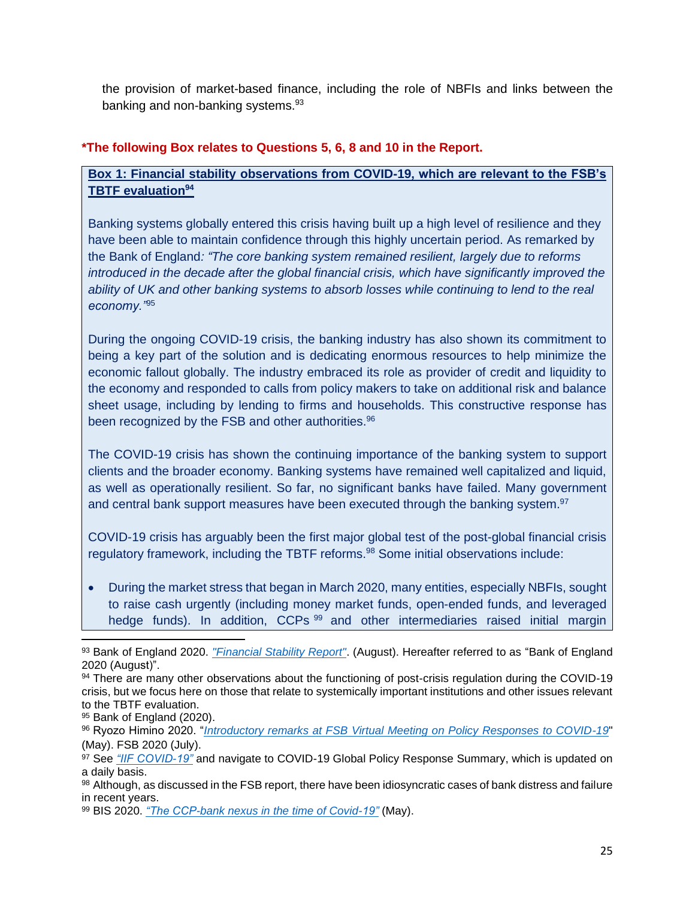the provision of market-based finance, including the role of NBFIs and links between the banking and non-banking systems.<sup>93</sup>

### **\*The following Box relates to Questions 5, 6, 8 and 10 in the Report.**

### **Box 1: Financial stability observations from COVID-19, which are relevant to the FSB's TBTF evaluation<sup>94</sup>**

Banking systems globally entered this crisis having built up a high level of resilience and they have been able to maintain confidence through this highly uncertain period. As remarked by the Bank of England*: "The core banking system remained resilient, largely due to reforms introduced in the decade after the global financial crisis, which have significantly improved the ability of UK and other banking systems to absorb losses while continuing to lend to the real economy."*<sup>95</sup>

During the ongoing COVID-19 crisis, the banking industry has also shown its commitment to being a key part of the solution and is dedicating enormous resources to help minimize the economic fallout globally. The industry embraced its role as provider of credit and liquidity to the economy and responded to calls from policy makers to take on additional risk and balance sheet usage, including by lending to firms and households. This constructive response has been recognized by the FSB and other authorities.<sup>96</sup>

The COVID-19 crisis has shown the continuing importance of the banking system to support clients and the broader economy. Banking systems have remained well capitalized and liquid, as well as operationally resilient. So far, no significant banks have failed. Many government and central bank support measures have been executed through the banking system.<sup>97</sup>

COVID-19 crisis has arguably been the first major global test of the post-global financial crisis regulatory framework, including the TBTF reforms.<sup>98</sup> Some initial observations include:

• During the market stress that began in March 2020, many entities, especially NBFIs, sought to raise cash urgently (including money market funds, open-ended funds, and leveraged hedge funds). In addition, CCPs<sup>99</sup> and other intermediaries raised initial margin

<sup>93</sup> Bank of England 2020. *["Financial Stability Report"](https://www.bankofengland.co.uk/-/media/boe/files/financial-stability-report/2020/august-2020.pdf?la=en&hash=2D820EFD16973AF9CB27F1C29507E0D55E03E1F5)*. (August). Hereafter referred to as "Bank of England 2020 (August)".

<sup>94</sup> There are many other observations about the functioning of post-crisis regulation during the COVID-19 crisis, but we focus here on those that relate to systemically important institutions and other issues relevant to the TBTF evaluation.

<sup>95</sup> Bank of England (2020).

<sup>96</sup> Ryozo Himino 2020. "*[Introductory remarks at FSB Virtual Meeting on Policy Responses to COVID-19](https://www.fsb.org/wp-content/uploads/S260520.pdf)*" (May). FSB 2020 (July).

<sup>97</sup> See *["IIF COVID-19"](https://www.iif.com/COVID-19)* and navigate to COVID-19 Global Policy Response Summary, which is updated on a daily basis.

<sup>98</sup> Although, as discussed in the FSB report, there have been idiosyncratic cases of bank distress and failure in recent years.

<sup>99</sup> BIS 2020. *["The CCP-bank nexus in the time of Covid-19"](https://www.bis.org/publ/bisbull13.pdf)* (May).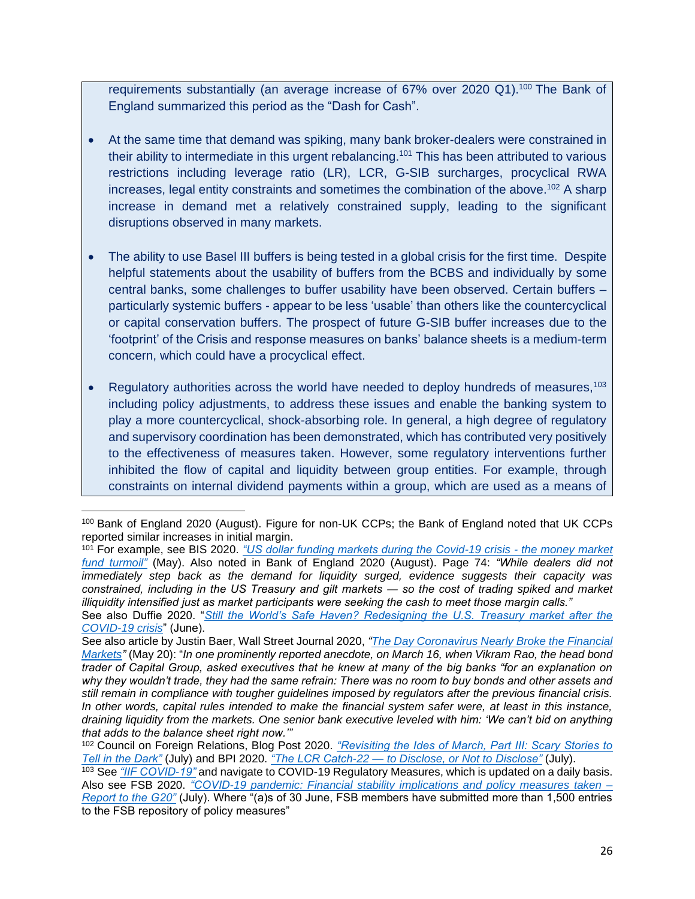requirements substantially (an average increase of  $67\%$  over 2020 Q1).<sup>100</sup> The Bank of England summarized this period as the "Dash for Cash".

- At the same time that demand was spiking, many bank broker-dealers were constrained in their ability to intermediate in this urgent rebalancing.<sup>101</sup> This has been attributed to various restrictions including leverage ratio (LR), LCR, G-SIB surcharges, procyclical RWA increases, legal entity constraints and sometimes the combination of the above. <sup>102</sup> A sharp increase in demand met a relatively constrained supply, leading to the significant disruptions observed in many markets.
- The ability to use Basel III buffers is being tested in a global crisis for the first time. Despite helpful statements about the usability of buffers from the BCBS and individually by some central banks, some challenges to buffer usability have been observed. Certain buffers – particularly systemic buffers - appear to be less 'usable' than others like the countercyclical or capital conservation buffers. The prospect of future G-SIB buffer increases due to the 'footprint' of the Crisis and response measures on banks' balance sheets is a medium-term concern, which could have a procyclical effect.
- Regulatory authorities across the world have needed to deploy hundreds of measures,  $103$ including policy adjustments, to address these issues and enable the banking system to play a more countercyclical, shock-absorbing role. In general, a high degree of regulatory and supervisory coordination has been demonstrated, which has contributed very positively to the effectiveness of measures taken. However, some regulatory interventions further inhibited the flow of capital and liquidity between group entities. For example, through constraints on internal dividend payments within a group, which are used as a means of

<sup>100</sup> Bank of England 2020 (August). Figure for non-UK CCPs; the Bank of England noted that UK CCPs reported similar increases in initial margin.

<sup>101</sup> For example, see BIS 2020. *["US dollar funding markets during the Covid-19 crisis -](https://www.bis.org/publ/bisbull14.pdf) the money market [fund turmoil"](https://www.bis.org/publ/bisbull14.pdf)* (May). Also noted in Bank of England 2020 (August). Page 74: *"While dealers did not immediately step back as the demand for liquidity surged, evidence suggests their capacity was constrained, including in the US Treasury and gilt markets ― so the cost of trading spiked and market illiquidity intensified just as market participants were seeking the cash to meet those margin calls."*

See also Duffie 2020. "*[Still the World's Safe Haven? Redesigning the U.S. Treasury market after the](https://www.brookings.edu/research/still-the-worlds-safe-haven/#:~:text=Darrell%20Duffie,-Dean%20Witter%20Distinguished&text=Over%20several%20tense%20days%20in,safe%20haven%20in%20a%20crisis.)  [COVID-19 crisis](https://www.brookings.edu/research/still-the-worlds-safe-haven/#:~:text=Darrell%20Duffie,-Dean%20Witter%20Distinguished&text=Over%20several%20tense%20days%20in,safe%20haven%20in%20a%20crisis.)*" (June).

See also article by Justin Baer, Wall Street Journal 2020, *["The Day Coronavirus Nearly Broke the Financial](https://www.wsj.com/articles/the-day-coronavirus-nearly-broke-the-financial-markets-11589982288)  [Markets"](https://www.wsj.com/articles/the-day-coronavirus-nearly-broke-the-financial-markets-11589982288)* (May 20): "*In one prominently reported anecdote, on March 16, when Vikram Rao, the head bond trader of Capital Group, asked executives that he knew at many of the big banks "for an explanation on*  why they wouldn't trade, they had the same refrain: There was no room to buy bonds and other assets and *still remain in compliance with tougher guidelines imposed by regulators after the previous financial crisis. In other words, capital rules intended to make the financial system safer were, at least in this instance, draining liquidity from the markets. One senior bank executive leveled with him: 'We can't bid on anything that adds to the balance sheet right now.'"* 

<sup>102</sup> Council on Foreign Relations, Blog Post 2020. *["Revisiting the Ides of March, Part III: Scary Stories to](https://www.cfr.org/blog/revisiting-ides-march-part-iii-scary-stories-tell-dark)  [Tell in the Dark"](https://www.cfr.org/blog/revisiting-ides-march-part-iii-scary-stories-tell-dark)* (July) and BPI 2020. *["The LCR Catch-22](https://bpi.com/the-lcr-catch-22-to-disclose-or-not-to-disclose/) — to Disclose, or Not to Disclose"* (July).

<sup>103</sup> See *["IIF COVID-19"](https://www.iif.com/COVID-19)* and navigate to COVID-19 Regulatory Measures, which is updated on a daily basis. Also see FSB 2020. *["COVID-19 pandemic: Financial stability implications and policy measures taken –](https://www.fsb.org/2020/07/covid-19-pandemic-financial-stability-implications-and-policy-measures-taken-report-to-the-g20/) [Report to the G20"](https://www.fsb.org/2020/07/covid-19-pandemic-financial-stability-implications-and-policy-measures-taken-report-to-the-g20/)* (July). Where "(a)s of 30 June, FSB members have submitted more than 1,500 entries to the FSB repository of policy measures"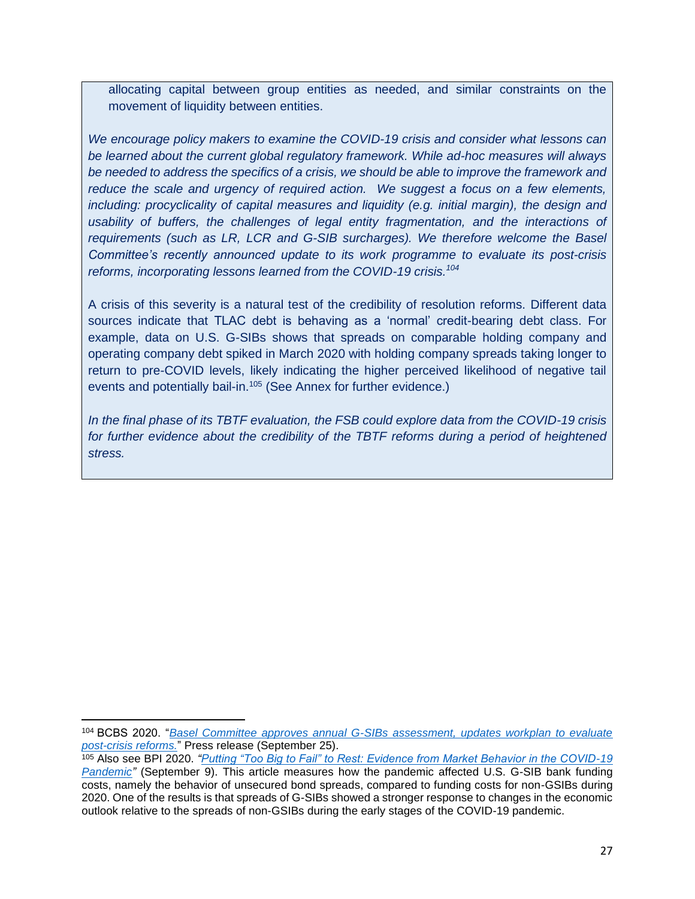allocating capital between group entities as needed, and similar constraints on the movement of liquidity between entities.

*We encourage policy makers to examine the COVID-19 crisis and consider what lessons can be learned about the current global regulatory framework. While ad-hoc measures will always be needed to address the specifics of a crisis, we should be able to improve the framework and reduce the scale and urgency of required action. We suggest a focus on a few elements, including: procyclicality of capital measures and liquidity (e.g. initial margin), the design and usability of buffers, the challenges of legal entity fragmentation, and the interactions of requirements (such as LR, LCR and G-SIB surcharges). We therefore welcome the Basel Committee's recently announced update to its work programme to evaluate its post-crisis reforms, incorporating lessons learned from the COVID-19 crisis. 104*

A crisis of this severity is a natural test of the credibility of resolution reforms. Different data sources indicate that TLAC debt is behaving as a 'normal' credit-bearing debt class. For example, data on U.S. G-SIBs shows that spreads on comparable holding company and operating company debt spiked in March 2020 with holding company spreads taking longer to return to pre-COVID levels, likely indicating the higher perceived likelihood of negative tail events and potentially bail-in.<sup>105</sup> (See Annex for further evidence.)

*In the final phase of its TBTF evaluation, the FSB could explore data from the COVID-19 crisis for further evidence about the credibility of the TBTF reforms during a period of heightened stress.*

<sup>104</sup> BCBS 2020. "*[Basel Committee approves annual G-SIBs assessment, updates workplan to evaluate](https://www.bis.org/press/p200925.htm)  [post-crisis reforms.](https://www.bis.org/press/p200925.htm)*" Press release (September 25).

<sup>105</sup> Also see BPI 2020. *["Putting "Too Big to Fail" to Rest: Evidence from Market Behavior in the COVID-19](https://bpi.com/putting-too-big-to-fail-to-rest-evidence-from-market-behavior-in-the-covid-19-pandemic/)  [Pandemic"](https://bpi.com/putting-too-big-to-fail-to-rest-evidence-from-market-behavior-in-the-covid-19-pandemic/)* (September 9). This article measures how the pandemic affected U.S. G-SIB bank funding costs, namely the behavior of unsecured bond spreads, compared to funding costs for non-GSIBs during 2020. One of the results is that spreads of G-SIBs showed a stronger response to changes in the economic outlook relative to the spreads of non-GSIBs during the early stages of the COVID-19 pandemic.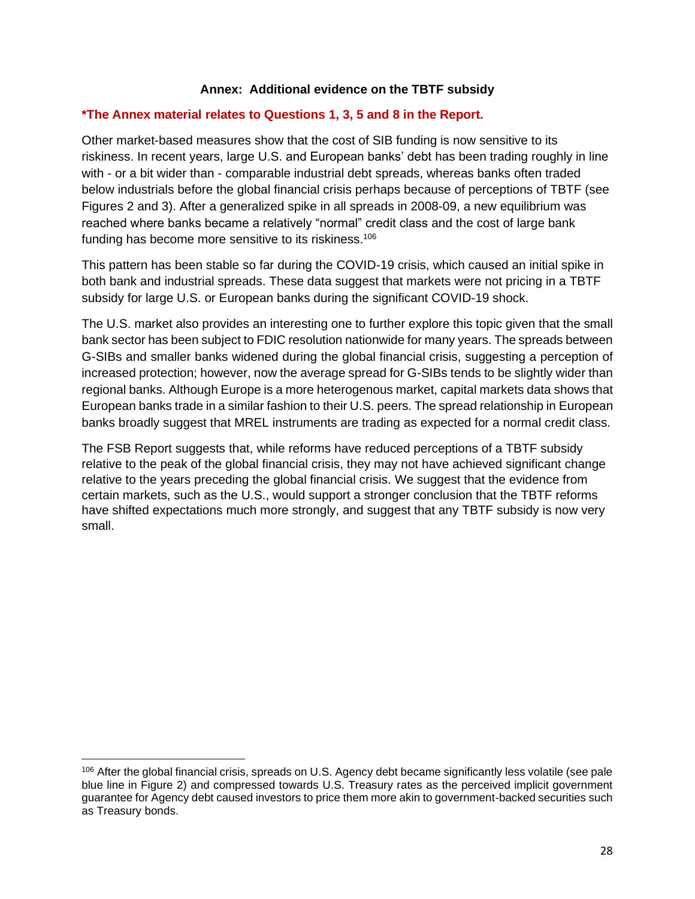#### **Annex: Additional evidence on the TBTF subsidy**

#### **\*The Annex material relates to Questions 1, 3, 5 and 8 in the Report.**

Other market-based measures show that the cost of SIB funding is now sensitive to its riskiness. In recent years, large U.S. and European banks' debt has been trading roughly in line with - or a bit wider than - comparable industrial debt spreads, whereas banks often traded below industrials before the global financial crisis perhaps because of perceptions of TBTF (see Figures 2 and 3). After a generalized spike in all spreads in 2008-09, a new equilibrium was reached where banks became a relatively "normal" credit class and the cost of large bank funding has become more sensitive to its riskiness.<sup>106</sup>

This pattern has been stable so far during the COVID-19 crisis, which caused an initial spike in both bank and industrial spreads. These data suggest that markets were not pricing in a TBTF subsidy for large U.S. or European banks during the significant COVID-19 shock.

The U.S. market also provides an interesting one to further explore this topic given that the small bank sector has been subject to FDIC resolution nationwide for many years. The spreads between G-SIBs and smaller banks widened during the global financial crisis, suggesting a perception of increased protection; however, now the average spread for G-SIBs tends to be slightly wider than regional banks. Although Europe is a more heterogenous market, capital markets data shows that European banks trade in a similar fashion to their U.S. peers. The spread relationship in European banks broadly suggest that MREL instruments are trading as expected for a normal credit class.

The FSB Report suggests that, while reforms have reduced perceptions of a TBTF subsidy relative to the peak of the global financial crisis, they may not have achieved significant change relative to the years preceding the global financial crisis. We suggest that the evidence from certain markets, such as the U.S., would support a stronger conclusion that the TBTF reforms have shifted expectations much more strongly, and suggest that any TBTF subsidy is now very small.

<sup>106</sup> After the global financial crisis, spreads on U.S. Agency debt became significantly less volatile (see pale blue line in Figure 2) and compressed towards U.S. Treasury rates as the perceived implicit government guarantee for Agency debt caused investors to price them more akin to government-backed securities such as Treasury bonds.